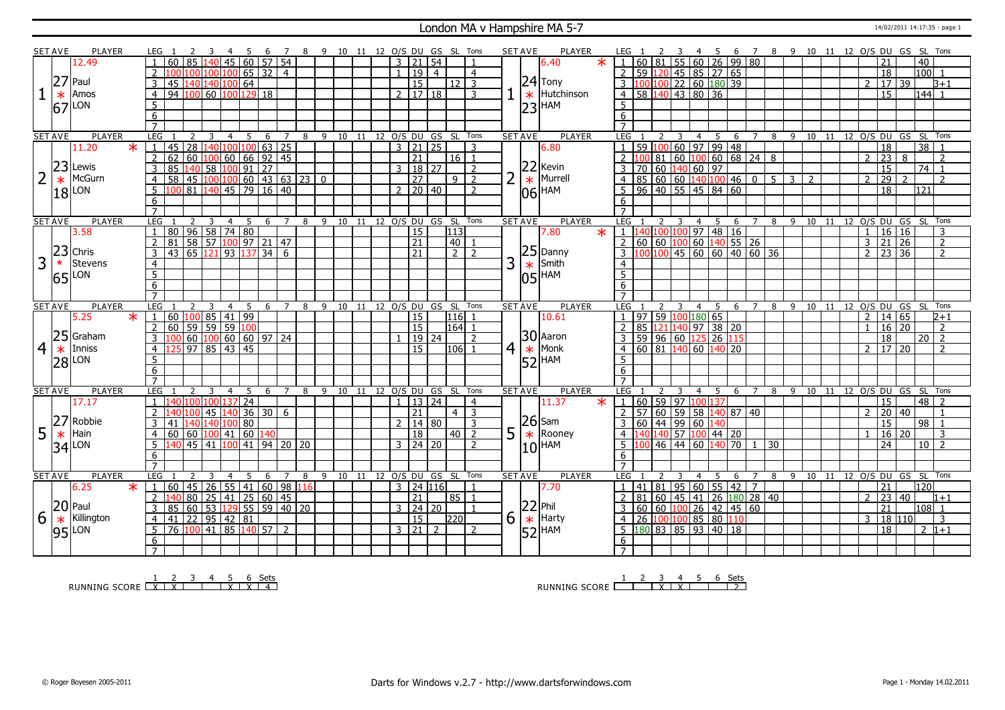#### London MA v Hampshire MA 5-7 14/02/2011 14:17:35 - page 1

|                | SET AVE        | <b>PLAYER</b>                   |                                              |                     |                                                                                                                         | 7              |     | 8 9 10 11 12 O/S DU GS SL Tons |    |                                        |             |                 |                     |   | <b>SET AVE</b><br><b>PLAYER</b>                | -6                                                                                                                                                                                                                                                                                                                                                                                                                                                                                                | 7 8 9 10 11 12 O/S DU GS SL Tons                                  |
|----------------|----------------|---------------------------------|----------------------------------------------|---------------------|-------------------------------------------------------------------------------------------------------------------------|----------------|-----|--------------------------------|----|----------------------------------------|-------------|-----------------|---------------------|---|------------------------------------------------|---------------------------------------------------------------------------------------------------------------------------------------------------------------------------------------------------------------------------------------------------------------------------------------------------------------------------------------------------------------------------------------------------------------------------------------------------------------------------------------------------|-------------------------------------------------------------------|
|                |                | 12.49                           | 60<br>85                                     | 140                 | 45 60 57 54                                                                                                             |                |     |                                |    | $3 \mid 21$                            | $\sqrt{54}$ |                 |                     |   | 6.40                                           | $60 \ 81 \ 55 \ 60 \ 26 \ 99 \ 80$                                                                                                                                                                                                                                                                                                                                                                                                                                                                | 40<br>21                                                          |
|                |                |                                 | $\mathcal{P}$                                | 100<br>100          | $65$ 32 4                                                                                                               |                |     |                                |    | $\overline{19}$<br>$\mathbf{1}$        | l 4         |                 | $\overline{4}$      |   |                                                | 2 59 120 45 85 27 65                                                                                                                                                                                                                                                                                                                                                                                                                                                                              | 18<br>$100$ 1                                                     |
|                |                | $27$ Paul                       | 3<br>45<br>140<br>140                        | 100                 | 64                                                                                                                      |                |     |                                |    | $\overline{15}$                        |             | $12 \mid 3$     |                     |   | $24$ Tony                                      | 3 100 100 22 60 180 39                                                                                                                                                                                                                                                                                                                                                                                                                                                                            | 17 39<br>$\mathcal{L}$<br>$B+1$                                   |
|                |                | Amos                            | $\overline{4}$<br>94 100                     |                     | $\frac{1}{100}$ 100 129 18                                                                                              |                |     |                                |    | $2 \mid 17 \mid 18$                    |             |                 | 3                   |   | Hutchinson                                     | 4 58 140 43 80 36                                                                                                                                                                                                                                                                                                                                                                                                                                                                                 | $\overline{15}$<br> 144 1                                         |
|                | $\ast$         |                                 |                                              |                     |                                                                                                                         |                |     |                                |    |                                        |             |                 |                     |   | $\ast$                                         |                                                                                                                                                                                                                                                                                                                                                                                                                                                                                                   |                                                                   |
|                |                | $67$ <sup>LON</sup>             | $\overline{5}$                               |                     |                                                                                                                         |                |     |                                |    |                                        |             |                 |                     |   | $ 23 $ HAM                                     |                                                                                                                                                                                                                                                                                                                                                                                                                                                                                                   |                                                                   |
|                |                |                                 | 6                                            |                     |                                                                                                                         |                |     |                                |    |                                        |             |                 |                     |   |                                                |                                                                                                                                                                                                                                                                                                                                                                                                                                                                                                   |                                                                   |
|                |                |                                 | $\overline{7}$                               |                     |                                                                                                                         |                |     |                                |    |                                        |             |                 |                     |   |                                                |                                                                                                                                                                                                                                                                                                                                                                                                                                                                                                   |                                                                   |
|                | <b>SET AVE</b> | <b>PLAYER</b><br>$\ast$         | LEG<br>$\overline{28}$                       | 3<br>4<br>140       | 5<br>6<br>100 100 63 25                                                                                                 | $\overline{7}$ |     | 8 9 10 11 12 0/S DU GS SL Tons |    | $\overline{3}$                         |             |                 | 3                   |   | <b>SET AVE</b><br><b>PLAYER</b><br>LEG         | $-5$<br>2<br>$\overline{\mathbf{3}}$<br>$\overline{4}$                                                                                                                                                                                                                                                                                                                                                                                                                                            | 6 7 8 9 10 11 12 O/S DU GS SL Tons                                |
|                |                | 11.20                           | 45                                           |                     |                                                                                                                         |                |     |                                |    |                                        | 21 25       |                 |                     |   | 6.80                                           | 59 100 60 97 99 48                                                                                                                                                                                                                                                                                                                                                                                                                                                                                | 18<br>$\overline{38}$                                             |
|                |                | $23$ Lewis                      | 2<br>60<br>62                                |                     | 100 60 66 92 45                                                                                                         |                |     |                                |    | 21                                     |             | 16 <sup>1</sup> | 1                   |   | 22 <br>Kevin                                   | 81 60 100 60 68 24 8                                                                                                                                                                                                                                                                                                                                                                                                                                                                              | $\overline{23}$<br>8<br>$\overline{\phantom{0}}$<br>$\mathcal{L}$ |
|                |                |                                 | $\overline{3}$<br>85                         |                     | $\frac{140}{58}$ $\frac{100}{91}$ $\frac{91}{27}$                                                                       |                |     |                                |    | 3   18   27                            |             |                 | $\overline{2}$      |   |                                                | 70 60 140 60 97                                                                                                                                                                                                                                                                                                                                                                                                                                                                                   | $\overline{15}$<br>74<br>$\vert$ 1                                |
| 2              | $\ast$         | McGurn                          | $\overline{58}$<br>$\overline{4}$            |                     | $45 \overline{)100 \overline{)100 \overline{)60 \overline{)43 \overline{)63 \overline{)23 \overline{0}} \overline{0}}}$ |                |     |                                |    | $\overline{27}$                        |             | $9\sqrt{2}$     |                     |   | Murrell<br>$\ast$                              | $4 \overline{)85}$ 60 60 140 100 46 0<br>$\sqrt{5}$ 3<br>$\overline{z}$                                                                                                                                                                                                                                                                                                                                                                                                                           | $\overline{29}$<br>$\mathcal{P}$<br>$\overline{\phantom{0}}$      |
|                |                | $18$ <sup>LON</sup>             | $\overline{5}$                               |                     | 81 140 45 79 16 40                                                                                                      |                |     |                                |    | $2 \mid 20 \mid 40$                    |             |                 | $\overline{2}$      |   | HAM<br>06                                      | $5 \mid 96 \mid 40 \mid 55 \mid 45 \mid 84 \mid 60$                                                                                                                                                                                                                                                                                                                                                                                                                                               | $\overline{18}$<br>121                                            |
|                |                |                                 | 6                                            |                     |                                                                                                                         |                |     |                                |    |                                        |             |                 |                     |   |                                                |                                                                                                                                                                                                                                                                                                                                                                                                                                                                                                   |                                                                   |
|                |                |                                 | $\overline{7}$                               |                     |                                                                                                                         |                |     |                                |    |                                        |             |                 |                     |   |                                                |                                                                                                                                                                                                                                                                                                                                                                                                                                                                                                   |                                                                   |
|                | <b>SET AVE</b> | <b>PLAYER</b>                   | LEG                                          | $\mathbf{R}$<br>4   | -5                                                                                                                      | 6 7            | 8   | 9 10 11 12 O/S DU GS SL Tons   |    |                                        |             |                 |                     |   | <b>PLAYER</b><br><b>SET AVE</b>                | LEG 1<br>$\mathcal{L}$<br>$\overline{\mathbf{3}}$<br>$\overline{4}$<br>5<br>- 6                                                                                                                                                                                                                                                                                                                                                                                                                   | 7 8 9 10 11 12 0/S DU GS SL Tons                                  |
|                |                | 3.58                            | 80 96 58 74 80<br>$\mathbf{1}$               |                     |                                                                                                                         |                |     |                                |    | 15                                     |             | 113             |                     |   | 7.80<br>$\ast$                                 | $1 \overline{1} \overline{1} \overline{1} \overline{1} \overline{1} \overline{1} \overline{1} \overline{1} \overline{1} \overline{1} \overline{1} \overline{1} \overline{1} \overline{1} \overline{1} \overline{1} \overline{1} \overline{1} \overline{1} \overline{1} \overline{1} \overline{1} \overline{1} \overline{1} \overline{1} \overline{1} \overline{1} \overline{1} \overline{1} \overline{1} \overline{1} \overline{1} \overline{1} \overline{1} \overline{1} \overline{1} \overline$ | 16 16<br>3<br>$\mathbf{1}$                                        |
|                |                |                                 | $\overline{2}$<br>81                         |                     | 58 57 100 97 21 47                                                                                                      |                |     |                                |    | $\overline{21}$                        |             | 40              |                     |   |                                                |                                                                                                                                                                                                                                                                                                                                                                                                                                                                                                   | $\overline{21}$<br>26<br>$\overline{3}$<br>$\overline{2}$         |
|                |                | $ 23 $ Chris                    | 43 65 121 93 137 34 6<br>3                   |                     |                                                                                                                         |                |     |                                |    | 21                                     |             | 77              |                     |   | $ 25 $ Danny                                   | $3 \mid 100 \mid 100 \mid 45 \mid 60 \mid 60 \mid 40 \mid 60 \mid 36$                                                                                                                                                                                                                                                                                                                                                                                                                             | $2 \mid 23 \mid 36$<br>$\overline{2}$                             |
| 3              | $\star$        | Stevens                         | $\overline{4}$                               |                     |                                                                                                                         |                |     |                                |    |                                        |             |                 |                     | 3 | Smith                                          |                                                                                                                                                                                                                                                                                                                                                                                                                                                                                                   |                                                                   |
|                |                | $65$ <sup>LON</sup>             | $\overline{5}$                               |                     |                                                                                                                         |                |     |                                |    |                                        |             |                 |                     |   | $\frac{1}{105}$ Smith                          |                                                                                                                                                                                                                                                                                                                                                                                                                                                                                                   |                                                                   |
|                |                |                                 | 6                                            |                     |                                                                                                                         |                |     |                                |    |                                        |             |                 |                     |   |                                                |                                                                                                                                                                                                                                                                                                                                                                                                                                                                                                   |                                                                   |
|                |                |                                 | $\overline{7}$                               |                     |                                                                                                                         |                |     |                                |    |                                        |             |                 |                     |   |                                                |                                                                                                                                                                                                                                                                                                                                                                                                                                                                                                   |                                                                   |
|                |                |                                 |                                              |                     |                                                                                                                         |                |     |                                |    |                                        |             |                 |                     |   |                                                |                                                                                                                                                                                                                                                                                                                                                                                                                                                                                                   |                                                                   |
|                | <b>SET AVE</b> | <b>PLAYER</b>                   | LEG                                          | 3<br>4              | 5<br>6                                                                                                                  | 7              | 8   | 9<br>10                        | 11 | 12 O/S DU GS SL Tons                   |             |                 |                     |   | <b>SET AVE</b><br><b>PLAYER</b><br>LEG         | -9<br>10<br>11<br>4<br>5<br>6<br>8                                                                                                                                                                                                                                                                                                                                                                                                                                                                | 12 O/S DU GS SL Tons                                              |
|                |                | 5.25<br>$\ast$                  | 60<br>$\overline{1}$                         | $10085$ 41          | 99                                                                                                                      |                |     |                                |    | 15                                     |             | 116             |                     |   | 10.61                                          | 97 59 100 180 65                                                                                                                                                                                                                                                                                                                                                                                                                                                                                  | 14 65<br>$2 + 1$<br>2                                             |
|                |                |                                 | $\overline{2}$<br>60                         |                     |                                                                                                                         |                |     |                                |    | <sup>15</sup>                          |             | $164$ 1         |                     |   |                                                | 85 121 140 97 38 20                                                                                                                                                                                                                                                                                                                                                                                                                                                                               | $16 \mid 20$<br>$\overline{2}$<br>$\overline{1}$                  |
|                |                | $25$ Graham                     | $\overline{3}$                               |                     |                                                                                                                         |                |     |                                |    |                                        | 19 24       |                 | $\overline{z}$      |   | $ 30 $ Aaron                                   | 3 59 96 60 125 26 115                                                                                                                                                                                                                                                                                                                                                                                                                                                                             | 18<br>20<br>$\overline{2}$                                        |
| $\overline{4}$ | $\ast$         | Inniss                          | $\frac{1}{97}$ 85 43 45<br>$\overline{4}$    |                     | $\frac{189}{59}$ 59 59 100<br>60 100 60 60 97 24                                                                        |                |     |                                |    |                                        | 15          | $106$ 1         |                     |   | Monk<br>$\ast$                                 | 4   60   81   140   60   140   20                                                                                                                                                                                                                                                                                                                                                                                                                                                                 | $17\overline{)20}$<br>$\overline{2}$<br>$\mathcal{L}$             |
|                |                |                                 |                                              |                     |                                                                                                                         |                |     |                                |    |                                        |             |                 |                     | 4 |                                                |                                                                                                                                                                                                                                                                                                                                                                                                                                                                                                   |                                                                   |
|                |                | $ 28 $ LON                      | $\overline{5}$<br>$\overline{6}$             |                     |                                                                                                                         |                |     |                                |    |                                        |             |                 |                     |   | $ 52 $ HAM                                     |                                                                                                                                                                                                                                                                                                                                                                                                                                                                                                   |                                                                   |
|                |                |                                 | $\overline{7}$                               |                     |                                                                                                                         |                |     |                                |    |                                        |             |                 |                     |   |                                                |                                                                                                                                                                                                                                                                                                                                                                                                                                                                                                   |                                                                   |
|                | <b>SET AVE</b> | <b>PLAYER</b>                   | LEG                                          | 3<br>4              | -5<br>-6                                                                                                                | $\overline{7}$ | - 8 | 9 10 11 12 O/S DU GS SL Tons   |    |                                        |             |                 |                     |   | <b>PLAYER</b><br><b>SET AVE</b><br>LEG         | - 9<br>$\overline{2}$<br>$\overline{4}$<br>- 5<br>- 6<br>$\overline{7}$<br>8                                                                                                                                                                                                                                                                                                                                                                                                                      | 10 11 12 O/S DU GS SL Tons                                        |
|                |                | 17.17                           |                                              | 137                 | $\overline{24}$                                                                                                         |                |     |                                |    | $\mathbf{1}$                           | 13 24       |                 | $\overline{4}$      |   | 11.37<br>$\ast$                                | 1   60   59   97   100   137                                                                                                                                                                                                                                                                                                                                                                                                                                                                      | 48 <br>15                                                         |
|                |                |                                 | $\overline{2}$                               | 45<br>140           | 36 30 6                                                                                                                 |                |     |                                |    | $\overline{21}$                        |             | 4 <sup>1</sup>  | $\overline{3}$      |   |                                                | 2 57 60 59 58 140 87 40                                                                                                                                                                                                                                                                                                                                                                                                                                                                           | 2                                                                 |
|                |                |                                 | 3<br>41                                      | 140<br>100          | 80                                                                                                                      |                |     |                                |    | $\overline{2}$                         | 14   80     |                 |                     |   |                                                |                                                                                                                                                                                                                                                                                                                                                                                                                                                                                                   | 20 40<br>15<br>$\overline{98}$                                    |
|                |                | 27 Robbie<br><b>Hain</b>        | 60<br>$\overline{4}$                         |                     | 40                                                                                                                      |                |     |                                |    |                                        |             | 40 l            | 3<br>$\overline{2}$ |   | $26$ Sam                                       | 60   44   99   60   140                                                                                                                                                                                                                                                                                                                                                                                                                                                                           | 3                                                                 |
| 5              | $\ast$         |                                 | $\overline{60}$<br>5                         | 100<br> 41          | 60                                                                                                                      |                |     |                                |    |                                        | 18          |                 | $\overline{2}$      | 5 | Rooney<br>$\star$                              | 40 140 57 100 44 20<br>30                                                                                                                                                                                                                                                                                                                                                                                                                                                                         | $16 \mid 20$<br>$\overline{24}$<br>$10\overline{2}$               |
|                |                | $34$ LON                        |                                              |                     | 45   41   <mark>100</mark>   41   94   20   20                                                                          |                |     |                                |    | $3 \mid 24 \mid 20$                    |             |                 |                     |   | $ 10 $ HAM                                     | $5 \mid 100 \mid 46 \mid 44 \mid 60 \mid 140 \mid 70 \mid 1$                                                                                                                                                                                                                                                                                                                                                                                                                                      |                                                                   |
|                |                |                                 | 6<br>$\overline{7}$                          |                     |                                                                                                                         |                |     |                                |    |                                        |             |                 |                     |   |                                                |                                                                                                                                                                                                                                                                                                                                                                                                                                                                                                   |                                                                   |
|                |                |                                 |                                              | $\overline{4}$<br>3 |                                                                                                                         |                |     |                                |    |                                        |             |                 |                     |   |                                                | 3<br>$\overline{4}$<br>7                                                                                                                                                                                                                                                                                                                                                                                                                                                                          |                                                                   |
|                | <b>SET AVE</b> | <b>PLAYER</b><br>6.25<br>$\ast$ | LEG<br>60<br>$\mathbf{1}$                    |                     | 5<br>6                                                                                                                  | 7              | 8   | 9 10 11 12 0/S DU GS SL Tons   |    |                                        |             |                 |                     |   | <b>SET AVE</b><br><b>PLAYER</b><br>LEG<br>7.70 | 5<br>8<br>6                                                                                                                                                                                                                                                                                                                                                                                                                                                                                       | 9 10 11 12 O/S DU GS SL Tons<br> 120 <br>21                       |
|                |                |                                 | 45 26<br>140                                 |                     | 55 41 60 98 16                                                                                                          |                |     |                                |    | $3 \mid 24 \mid 116$                   |             |                 |                     |   |                                                | 41 81 95 60 55 42 7<br>81                                                                                                                                                                                                                                                                                                                                                                                                                                                                         | 40<br>$\mathcal{L}$<br>$1\!+\!1$                                  |
|                |                |                                 | $\overline{2}$<br>$\mathbf{3}$<br>85         |                     | $80$ 25 41 25 60 45                                                                                                     |                |     |                                |    | $\overline{21}$                        |             | 85   1          |                     |   |                                                | 60   45   41   26   180   28   40                                                                                                                                                                                                                                                                                                                                                                                                                                                                 | $ 23\rangle$<br>21<br>l108l 1                                     |
|                |                | $ 20 $ Paul                     | $\overline{4}$                               |                     | 60 53 129 55 59 40 20                                                                                                   |                |     |                                |    | $3 \mid 24 \mid 20$<br>$\overline{15}$ |             |                 |                     |   | $22$ Phil                                      |                                                                                                                                                                                                                                                                                                                                                                                                                                                                                                   | 3<br>3                                                            |
| 6              | $\ast$         | Killington                      |                                              |                     |                                                                                                                         |                |     |                                |    |                                        |             | <b>220</b>      | $\overline{2}$      | 6 | Harty                                          | 26 100 100 85 80 110                                                                                                                                                                                                                                                                                                                                                                                                                                                                              | 18 110                                                            |
|                |                | $95$ <sup>LON</sup>             | 41 22 95 42 81<br>76 100 41 85 140 57 2<br>5 |                     |                                                                                                                         |                |     |                                |    | $3 \mid 21 \mid 2$                     |             |                 |                     |   | $\sqrt{\frac{1}{52}}$ Harty                    | $5 \vert 180 \vert 83 \vert 85 \vert 93 \vert 40 \vert 18$                                                                                                                                                                                                                                                                                                                                                                                                                                        | 18<br>$2 1+1$                                                     |
|                |                |                                 | 6<br>$\overline{7}$                          |                     |                                                                                                                         |                |     |                                |    |                                        |             |                 |                     |   |                                                |                                                                                                                                                                                                                                                                                                                                                                                                                                                                                                   |                                                                   |

RUNNING SCORE <u>| X | X | X | X | X | 4</u><br>RUNNING SCORE <u>| X | X | T | X | X | 4</u>

RUNNING SCORE 1 2 3 X 4 X 5 6 Sets 2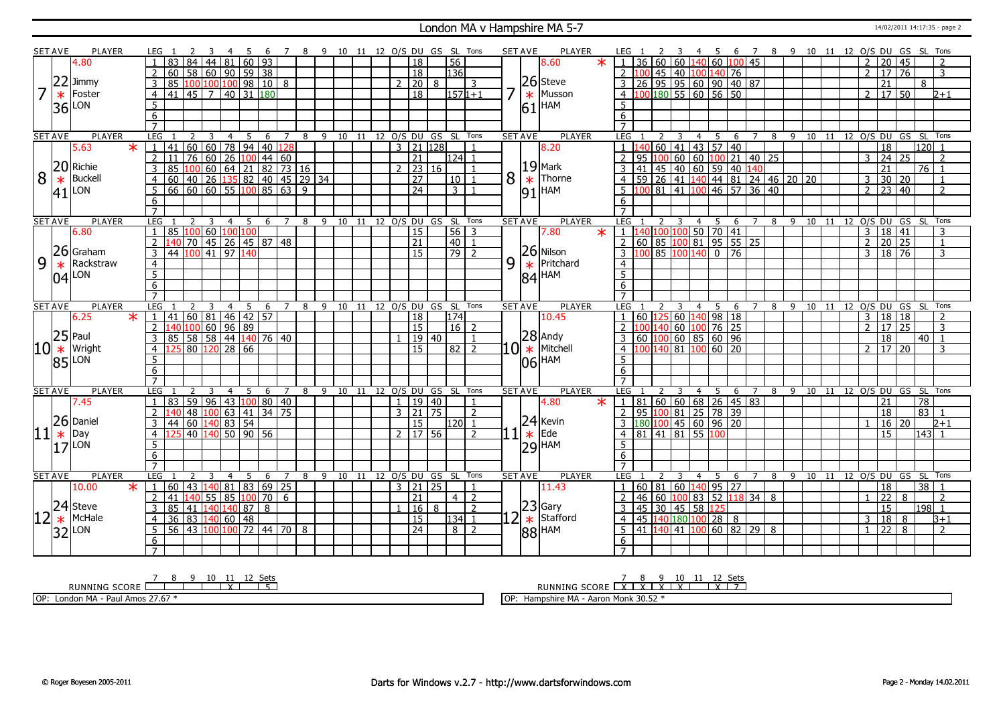#### London MA v Hampshire MA 5-7 14/02/2011 14:17:35 - page 2

|                | <b>SET AVE</b> | <b>PLAYER</b>                        |                     |                                                      |                |                              | -4             | -5 | - 6 | 7              |                       |  |  |               |                     |       | 8 9 10 11 12 O/S DU GS SL Tons         |                |   | <b>SET AVE</b> | <b>PLAYER</b>                   | LEG 1                                                          |                     |         |                         | -4             | - 5            | -6                                                     | $\overline{7}$                                                                                           |   |    | 8 9 10 11 12 O/S DU GS SL Tons              |  |                            |                |                 |                     |                 |                 |                |
|----------------|----------------|--------------------------------------|---------------------|------------------------------------------------------|----------------|------------------------------|----------------|----|-----|----------------|-----------------------|--|--|---------------|---------------------|-------|----------------------------------------|----------------|---|----------------|---------------------------------|----------------------------------------------------------------|---------------------|---------|-------------------------|----------------|----------------|--------------------------------------------------------|----------------------------------------------------------------------------------------------------------|---|----|---------------------------------------------|--|----------------------------|----------------|-----------------|---------------------|-----------------|-----------------|----------------|
|                |                | 4.80                                 |                     | 83                                                   |                | 84 44 81 60 93               |                |    |     |                |                       |  |  |               | $\overline{18}$     |       | 56                                     |                |   |                | 8.60<br>$\ast$                  | 36                                                             |                     |         |                         |                |                |                                                        | $60$ 60 140 60 100 45                                                                                    |   |    |                                             |  |                            | 2              | $\overline{20}$ | 45                  |                 |                 | 2              |
|                |                |                                      | 2 <sup>1</sup>      | $60$ 58 60 90 59 38                                  |                |                              |                |    |     |                |                       |  |  |               | $\overline{18}$     |       | 136                                    |                |   |                |                                 | 2 100                                                          |                     |         |                         |                |                | 45 40 100 140 76                                       |                                                                                                          |   |    |                                             |  |                            | $\mathcal{L}$  | $\overline{17}$ | $\overline{76}$     |                 |                 | 3              |
|                | 22             | Jimmy                                | $\overline{3}$      | 85 100 100 100 98 10 8                               |                |                              |                |    |     |                |                       |  |  | $\mathcal{P}$ | $\vert 20 \vert 8$  |       |                                        | 3              |   |                | $ 26 $ Steve                    | 3                                                              |                     |         |                         |                |                |                                                        | 26 95 95 60 90 40 87                                                                                     |   |    |                                             |  |                            |                | 21              |                     |                 | 8               |                |
| $\overline{7}$ | $\ast$         | Foster                               |                     | 4 4 41 45 7 40 31 180                                |                |                              |                |    |     |                |                       |  |  |               | $\overline{18}$     |       | $1571+1$                               |                |   | $\ast$         | Musson                          | $-4$ $\big  100 \big  180 \big  55 \big  60 \big  56 \big  50$ |                     |         |                         |                |                |                                                        |                                                                                                          |   |    |                                             |  |                            |                |                 | 2   17   50         |                 |                 | $2 + 1$        |
|                |                | LON                                  | 5                   |                                                      |                |                              |                |    |     |                |                       |  |  |               |                     |       |                                        |                |   |                |                                 | 5                                                              |                     |         |                         |                |                |                                                        |                                                                                                          |   |    |                                             |  |                            |                |                 |                     |                 |                 |                |
|                | 36             |                                      | 6                   |                                                      |                |                              |                |    |     |                |                       |  |  |               |                     |       |                                        |                |   |                | $61$ <sup>HAM</sup>             | 6                                                              |                     |         |                         |                |                |                                                        |                                                                                                          |   |    |                                             |  |                            |                |                 |                     |                 |                 |                |
|                |                |                                      | $\overline{7}$      |                                                      |                |                              |                |    |     |                |                       |  |  |               |                     |       |                                        |                |   |                |                                 |                                                                |                     |         |                         |                |                |                                                        |                                                                                                          |   |    |                                             |  |                            |                |                 |                     |                 |                 |                |
|                | <b>SET AVE</b> | <b>PLAYER</b>                        | LEG <sub>1</sub>    |                                                      | $2 \quad 3$    |                              |                |    |     |                |                       |  |  |               |                     |       | 4 5 6 7 8 9 10 11 12 O/S DU GS SL Tons |                |   | <b>SET AVE</b> | <b>PLAYER</b>                   | LEG 1                                                          |                     |         | $\overline{\mathbf{3}}$ |                |                |                                                        |                                                                                                          |   |    | 4 5 6 7 8 9 10 11 12 O/S DU GS SL Tons      |  |                            |                |                 |                     |                 |                 |                |
|                |                | $\star$<br>5.63                      |                     | 1 41 60 60 78 94 40 128                              |                |                              |                |    |     |                |                       |  |  |               | $3$   21   128      |       |                                        |                |   |                | 8.20                            |                                                                |                     | $60$ 41 |                         |                |                | 43 57 40                                               |                                                                                                          |   |    |                                             |  |                            |                | 18              |                     |                 | $120$ 1         |                |
|                |                |                                      | $\overline{2}$      | 11 <sup>1</sup>                                      |                | 76 60 26 100 44 60           |                |    |     |                |                       |  |  |               | 21                  |       | $124$ 1                                |                |   |                |                                 | 95                                                             |                     | 100.    |                         |                |                |                                                        | $\boxed{60}$ $\boxed{60}$ $\boxed{100}$ 21 $\boxed{40}$ 25                                               |   |    |                                             |  |                            | 3              | 24              | 25                  |                 |                 | 2              |
|                | 20             | Richie                               | 3                   | 85                                                   |                |                              |                |    |     |                | 100 60 64 21 82 73 16 |  |  |               |                     | 23 16 |                                        |                |   |                | $19$ Mark                       | 41                                                             |                     |         |                         |                |                |                                                        | 45 40 60 59 40 140                                                                                       |   |    |                                             |  |                            |                | 21              |                     |                 | $76$   1        |                |
| 8              | $\ast$         | <b>Buckell</b>                       |                     |                                                      |                |                              |                |    |     |                |                       |  |  |               | $\overline{27}$     |       | 10                                     | $\overline{1}$ | 8 | $\ast$         | Thorne                          | $\overline{4}$                                                 |                     |         |                         |                |                |                                                        |                                                                                                          |   |    | $\overline{59}$ 26 41 140 44 81 24 46 20 20 |  |                            | $\overline{3}$ |                 | 30 20               |                 |                 | $\overline{1}$ |
|                |                | LON                                  |                     |                                                      |                |                              |                |    |     |                |                       |  |  |               | 24                  |       | 3 1                                    |                |   |                | $91$ HAM                        | 5 100 81 41 100 46 57 36 40                                    |                     |         |                         |                |                |                                                        |                                                                                                          |   |    |                                             |  |                            | $\overline{2}$ |                 | $\sqrt{23}$ 40      |                 |                 | $\overline{2}$ |
|                | 41             |                                      | 6                   |                                                      |                |                              |                |    |     |                |                       |  |  |               |                     |       |                                        |                |   |                |                                 | 6                                                              |                     |         |                         |                |                |                                                        |                                                                                                          |   |    |                                             |  |                            |                |                 |                     |                 |                 |                |
|                |                |                                      | $\overline{7}$      |                                                      |                |                              |                |    |     |                |                       |  |  |               |                     |       |                                        |                |   |                |                                 | $\overline{7}$                                                 |                     |         |                         |                |                |                                                        |                                                                                                          |   |    |                                             |  |                            |                |                 |                     |                 |                 |                |
|                | <b>SET AVE</b> | <b>PLAYER</b>                        | LEG                 |                                                      | $\overline{2}$ | $\overline{3}$               | $\overline{4}$ | 5  | 6   | $7^{\circ}$    | 8                     |  |  |               |                     |       | 9 10 11 12 O/S DU GS SL Tons           |                |   | <b>SET AVE</b> | <b>PLAYER</b>                   | LEG <sub>1</sub>                                               |                     | 2       | $\overline{3}$          |                |                |                                                        |                                                                                                          |   |    | 4 5 6 7 8 9 10 11 12 O/S DU GS SL           |  |                            |                |                 |                     |                 |                 | Tons           |
|                |                | 6.80                                 |                     | 1   85   100   60   100   100                        |                |                              |                |    |     |                |                       |  |  |               | $ 15\rangle$        |       | $56 \mid 3$                            |                |   |                | 7.80<br>$\overline{\textbf{x}}$ | 1 140 100 100 50 70 41                                         |                     |         |                         |                |                |                                                        |                                                                                                          |   |    |                                             |  |                            | $\overline{3}$ |                 | 18   41             |                 |                 | 3              |
|                |                |                                      | $\overline{2}$      | 140 70 45 26 45 87 48                                |                |                              |                |    |     |                |                       |  |  |               | $\overline{21}$     |       | $40$   1                               |                |   |                |                                 | 2                                                              |                     |         |                         |                |                |                                                        | 60 85 100 81 95 55 25                                                                                    |   |    |                                             |  |                            | $\overline{2}$ |                 | 20 25               |                 |                 | $\mathbf{1}$   |
|                |                | $ 26 $ Graham                        | $\mathcal{E}$       | 44 100 41 97 140                                     |                |                              |                |    |     |                |                       |  |  |               | 15                  |       | $\boxed{79}$ $\boxed{2}$               |                |   |                | 26 Nilson                       | $3 \mid 100 \mid 85 \mid 100 \mid 140 \mid 0 \mid 76$          |                     |         |                         |                |                |                                                        |                                                                                                          |   |    |                                             |  |                            | $\mathbf{3}$   |                 | $18 \overline{76}$  |                 |                 | 3              |
| 9              | $\ast$         | Rackstraw                            | $\overline{4}$      |                                                      |                |                              |                |    |     |                |                       |  |  |               |                     |       |                                        |                | 9 | $\ast$         | Pritchard                       | $\overline{4}$                                                 |                     |         |                         |                |                |                                                        |                                                                                                          |   |    |                                             |  |                            |                |                 |                     |                 |                 |                |
|                |                |                                      | $\overline{5}$      |                                                      |                |                              |                |    |     |                |                       |  |  |               |                     |       |                                        |                |   |                | $ 84 $ HAM                      | $\overline{5}$                                                 |                     |         |                         |                |                |                                                        |                                                                                                          |   |    |                                             |  |                            |                |                 |                     |                 |                 |                |
|                |                | $04$ <sup>LON</sup>                  | 6                   |                                                      |                |                              |                |    |     |                |                       |  |  |               |                     |       |                                        |                |   |                |                                 | 6                                                              |                     |         |                         |                |                |                                                        |                                                                                                          |   |    |                                             |  |                            |                |                 |                     |                 |                 |                |
|                |                |                                      | $\overline{7}$      |                                                      |                |                              |                |    |     |                |                       |  |  |               |                     |       |                                        |                |   |                |                                 |                                                                |                     |         |                         |                |                |                                                        |                                                                                                          |   |    |                                             |  |                            |                |                 |                     |                 |                 |                |
| <b>SET AVE</b> |                | <b>PLAYER</b>                        |                     |                                                      |                |                              | 4              | 5  | - 6 | $\overline{7}$ | 8                     |  |  |               |                     |       | 9 10 11 12 O/S DU GS SL Tons           |                |   | <b>SET AVE</b> | <b>PLAYER</b>                   | LEG                                                            |                     |         |                         |                | 4 <sub>5</sub> |                                                        | 6 7                                                                                                      |   | 89 |                                             |  | 10 11 12 O/S DU GS SL Tons |                |                 |                     |                 |                 |                |
|                |                |                                      | LEG                 |                                                      |                |                              |                |    |     |                |                       |  |  |               |                     |       |                                        |                |   |                |                                 |                                                                |                     |         |                         |                |                |                                                        |                                                                                                          |   |    |                                             |  |                            |                |                 |                     |                 |                 |                |
|                |                | 6.25<br>$\ast$                       | 1 <sup>1</sup>      |                                                      |                |                              |                |    |     |                |                       |  |  |               |                     |       | 174                                    |                |   |                | 10.45                           |                                                                |                     |         |                         |                |                |                                                        |                                                                                                          |   |    |                                             |  |                            | $\overline{3}$ |                 |                     |                 |                 | $\overline{z}$ |
|                |                |                                      | $\overline{2}$      | $141 \mid 60 \mid 81 \mid 46 \mid 42 \mid 57$        |                |                              |                |    |     |                |                       |  |  |               | 18                  |       |                                        |                |   |                |                                 |                                                                |                     | 40      |                         |                |                | 60 125 60 140 98 18                                    |                                                                                                          |   |    |                                             |  |                            | $\overline{2}$ | 18 18<br>17     | $\overline{25}$     |                 |                 | 3              |
|                |                |                                      | 3                   | 140 100 60 96 89                                     |                |                              |                |    |     |                |                       |  |  |               | $\overline{15}$     |       | $16 \mid 2$                            |                |   |                |                                 |                                                                |                     |         |                         |                |                | 60 100 76 25                                           |                                                                                                          |   |    |                                             |  |                            |                |                 |                     |                 |                 | $\overline{1}$ |
|                | $ 25 $ Paul    |                                      |                     | 85 58 58 44 140 76 40                                |                |                              |                |    |     |                |                       |  |  |               | 15                  | 19 40 |                                        |                |   |                |                                 | 4 1                                                            |                     |         |                         |                |                | $60\left 100\right 60\left 85\right 60\left 96\right $ |                                                                                                          |   |    |                                             |  |                            |                | 18              |                     |                 | 40              | 3              |
|                | $ 10 *$        | Wright                               |                     | $4 \overline{125} 80 \overline{120} 28 \overline{6}$ |                |                              |                |    |     |                |                       |  |  |               |                     |       | $82$   2                               |                |   |                | $10^{28}$ Andy<br>10 * Mitchell | 5                                                              |                     |         |                         |                |                | 00 140 81 100 60 20                                    |                                                                                                          |   |    |                                             |  |                            |                |                 | $2 \mid 17 \mid 20$ |                 |                 |                |
|                |                | $ 85 $ LON                           | 5<br>6              |                                                      |                |                              |                |    |     |                |                       |  |  |               |                     |       |                                        |                |   |                | $ 06 $ HAM                      | $6 \overline{6}$                                               |                     |         |                         |                |                |                                                        |                                                                                                          |   |    |                                             |  |                            |                |                 |                     |                 |                 |                |
|                |                |                                      | $\overline{7}$      |                                                      |                |                              |                |    |     |                |                       |  |  |               |                     |       |                                        |                |   |                |                                 | $\overline{7}$                                                 |                     |         |                         |                |                |                                                        |                                                                                                          |   |    |                                             |  |                            |                |                 |                     |                 |                 |                |
|                | <b>SET AVE</b> | <b>PLAYER</b>                        | <b>LEG</b>          |                                                      | 2              | 3                            | $\overline{4}$ | 5  | 6   | $\overline{7}$ | 8                     |  |  |               |                     |       | 9 10 11 12 0/S DU GS SL Tons           |                |   | <b>SET AVE</b> | <b>PLAYER</b>                   | <b>LEG</b>                                                     |                     |         | 3                       | $\overline{4}$ | 5              | 6                                                      | $\overline{7}$                                                                                           |   |    | 8 9 10 11 12 0/S DU GS SL                   |  |                            |                |                 |                     |                 |                 | Tons           |
|                |                | 7.45                                 |                     | 1   83   59   96   43   100   80   40                |                |                              |                |    |     |                |                       |  |  |               | 1   19   40         |       |                                        | -1             |   |                | 4.80<br>$\star$                 | $\mathbf{1}$                                                   |                     |         |                         |                |                |                                                        | 81   60   60   68   26   45   83                                                                         |   |    |                                             |  |                            |                | 21              |                     | $\overline{78}$ |                 |                |
|                |                |                                      | $\overline{2}$      | 140                                                  |                |                              |                |    |     |                |                       |  |  |               | 3   21   75         |       |                                        | 2              |   |                |                                 | $\mathcal{P}$                                                  |                     |         |                         |                |                |                                                        |                                                                                                          |   |    |                                             |  |                            |                | 18              |                     | 83              |                 | $\overline{1}$ |
|                |                |                                      | $\overline{3}$      | 44 60 140 83 54                                      |                | 48   100   63   41   34   75 |                |    |     |                |                       |  |  |               | $\overline{15}$     |       | $120$ 1                                |                |   |                |                                 | 3 180 100 45 60 96 20                                          |                     |         |                         |                |                | 95 100 81 25 78 39                                     |                                                                                                          |   |    |                                             |  |                            | $\mathbf{1}$   |                 | 16 20               |                 |                 | $2+1$          |
|                |                |                                      |                     | 4 125 40 140 50 90 56                                |                |                              |                |    |     |                |                       |  |  |               | $2 \mid 17 \mid 56$ |       |                                        | $\overline{2}$ |   |                | $24$ Kevin<br>Ede               | 4 81 41 81 55 100                                              |                     |         |                         |                |                |                                                        |                                                                                                          |   |    |                                             |  |                            |                | 15              |                     |                 | 143  1          |                |
|                |                | $\left 11\right ^{26}_{\ast}$ Daniel | 5                   |                                                      |                |                              |                |    |     |                |                       |  |  |               |                     |       |                                        |                |   | $\ast$         |                                 | 5                                                              |                     |         |                         |                |                |                                                        |                                                                                                          |   |    |                                             |  |                            |                |                 |                     |                 |                 |                |
|                |                | $ 17 $ LON                           | 6                   |                                                      |                |                              |                |    |     |                |                       |  |  |               |                     |       |                                        |                |   |                | $ 29 $ HAM                      | 6                                                              |                     |         |                         |                |                |                                                        |                                                                                                          |   |    |                                             |  |                            |                |                 |                     |                 |                 |                |
|                |                |                                      | $\overline{7}$      |                                                      |                |                              |                |    |     |                |                       |  |  |               |                     |       |                                        |                |   |                |                                 |                                                                |                     |         |                         |                |                |                                                        |                                                                                                          |   |    |                                             |  |                            |                |                 |                     |                 |                 |                |
|                | <b>SET AVE</b> | <b>PLAYER</b>                        | LEG                 |                                                      |                | 3                            | $\overline{4}$ | 5  | 6   | $\overline{7}$ | 8                     |  |  |               |                     |       | 9 10 11 12 O/S DU GS SL Tons           |                |   | <b>SET AVE</b> | <b>PLAYER</b>                   | LEG                                                            |                     |         | 3                       |                | 4 <sub>5</sub> | 6                                                      | $\overline{7}$                                                                                           | 8 | 9  |                                             |  | 10 11 12 O/S DU GS SL Tons |                |                 |                     |                 |                 |                |
|                |                | 10.00<br>$\ast$                      | $\mathbf{1}$        | $60$   43   140   81   83   69   25                  |                |                              |                |    |     |                |                       |  |  |               | 3   21   25         |       |                                        |                |   |                | 11.43                           |                                                                |                     |         |                         |                |                | 60 81 60 140 95 27                                     |                                                                                                          |   |    |                                             |  |                            |                | 18              |                     |                 | $\overline{38}$ |                |
|                |                |                                      | $\overline{2}$      | 41                                                   |                | $ 140 $ 55   85 $ 100 $ 70   |                |    |     | 6              |                       |  |  |               | 21                  |       | 4                                      | $\overline{2}$ |   |                |                                 | 46                                                             |                     |         |                         |                |                |                                                        | 60 $\boxed{100}$ 83   52   118 34   8                                                                    |   |    |                                             |  |                            |                | $\overline{22}$ | 8                   |                 |                 | 2              |
|                |                | <b>Steve</b>                         |                     | 3   85   41   140   140   87   8                     |                |                              |                |    |     |                |                       |  |  |               | $16 \mid 8$         |       |                                        | $\overline{2}$ |   |                | $ 23 $ Gary                     | 3                                                              | 45 30 45 58 125     |         |                         |                |                |                                                        |                                                                                                          |   |    |                                             |  |                            |                | $\overline{15}$ |                     |                 | $198$   1       |                |
|                |                | McHale                               | $\overline{4}$      | 36 83 140 60 48                                      |                |                              |                |    |     |                |                       |  |  |               | 15                  |       | 134 1                                  |                |   |                | $\star$ Stafford                | $\overline{4}$                                                 | 45 140 180 100 28 8 |         |                         |                |                |                                                        |                                                                                                          |   |    |                                             |  |                            | 3              | 18              | 8                   |                 |                 | $B+1$          |
|                | $ 12 ^{24}$    | LON                                  | $5-1$               | 56 43 100 100 72 44 70 8                             |                |                              |                |    |     |                |                       |  |  |               | $\sqrt{24}$         |       | 8 2                                    |                |   |                |                                 | .5                                                             |                     |         |                         |                |                |                                                        | $\boxed{41}$ $\boxed{140}$ $\boxed{41}$ $\boxed{100}$ $\boxed{60}$ $\boxed{82}$ $\boxed{29}$ $\boxed{8}$ |   |    |                                             |  |                            | $\overline{1}$ | $\overline{22}$ | 8                   |                 |                 | $\overline{2}$ |
|                | 321            |                                      | 6<br>$\overline{7}$ |                                                      |                |                              |                |    |     |                |                       |  |  |               |                     |       |                                        |                |   |                | $ 88 $ HAM                      | 6                                                              |                     |         |                         |                |                |                                                        |                                                                                                          |   |    |                                             |  |                            |                |                 |                     |                 |                 |                |

RUNNING SCORE 7 8 9 10 11 X 12 Sets 5 OP: London MA - Paul Amos 27.67 \*

RUNNING SCORE 7 X 8 X 9 X 10 X 11 12 X Sets 7 OP: Hampshire MA - Aaron Monk 30.52 \*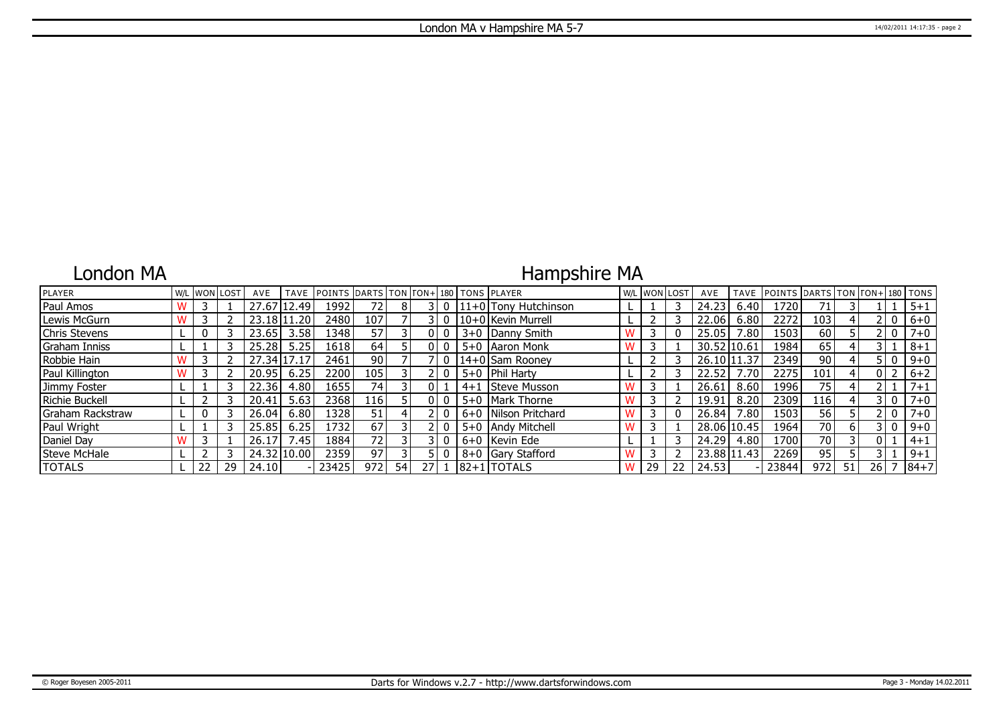### London MA

## Hampshire MA

| PLAYER                | W/L |    | . IwonIlost | AVE      | <b>TAVE</b> | <b>IPOINTS DARTS TON FON+1180 TONS IPLAYER</b> |                 |    |    |  |                          |    | W/L WON LOST | AVE         | <b>TAVE</b> | <b>POINTS</b> | DARTS TON TON+ 180 TONS |    |      |       |         |
|-----------------------|-----|----|-------------|----------|-------------|------------------------------------------------|-----------------|----|----|--|--------------------------|----|--------------|-------------|-------------|---------------|-------------------------|----|------|-------|---------|
| <b>Paul Amos</b>      |     |    |             |          | 27.67 12.49 | 1992                                           | 72 I            | 8  |    |  | $ 11+0 $ Tony Hutchinson |    |              | 24.23       | 6.40        | 1720          | 71                      |    |      |       | $5 + 1$ |
| Lewis McGurn          |     |    |             | 23.18111 | .20         | 2480                                           | 107             |    |    |  | 10+0 Kevin Murrell       |    |              | 22.06       | 6.80        | 2272          | 103 <sub>1</sub>        |    |      |       | $6+0$   |
| <b>Chris Stevens</b>  |     |    |             | 23.65    | 3.58        | 1348                                           | 57              |    |    |  | 3+0 Danny Smith          |    |              | 25.05       | 7.80        | 1503          | 60                      |    |      |       | $7 + 0$ |
| <b>Graham Inniss</b>  |     |    |             | 25.28    | 5.25        | 1618                                           | 64              |    |    |  | 5+0   Aaron Monk         |    |              | 30.52 10.61 |             | 1984          | 65                      |    |      |       | $8 + 1$ |
| Robbie Hain           |     |    |             |          | 27.34 17.17 | 2461                                           | 90 <sub>1</sub> |    |    |  | 14+0 Sam Rooney          |    |              | 26.10 11.37 |             | 2349          | 90                      |    |      |       | $9 + 0$ |
| Paul Killington       |     |    |             | 20.95    | 6.25        | 2200                                           | 105             |    |    |  | 5+0   Phil Harty         |    |              | 22.52       | 7.70        | 2275          | 101                     |    |      |       | $6 + 2$ |
| Jimmy Foster          |     |    |             | 22.36    | 4.80        | 1655                                           | 741             |    |    |  | 4+1 Steve Musson         |    |              | 26.61       | 8.60        | 1996          | 75                      |    |      |       | $7 + 1$ |
| <b>Richie Buckell</b> |     |    |             | 20.41    | 5.63        | 2368                                           | 116             |    |    |  | 5+0   Mark Thorne        |    |              | 19.91       | 8.20        | 2309          | 116                     |    |      | 3 I O | $7 + 0$ |
| Graham Rackstraw      |     |    |             | 26.04    | 6.80        | 1328                                           | 51              |    |    |  | 6+0   Nilson Pritchard   |    |              | 26.84       | 7.80        | 1503          | 56                      |    |      |       | $7 + 0$ |
| Paul Wright           |     |    |             | 25.85    | 6.25        | .732                                           | 67              |    |    |  | 5+0 Andy Mitchell        |    |              |             | 28.06 10.45 | 1964          | 70                      |    |      |       | $9 + 0$ |
| Daniel Day            |     |    |             | 26.17    | /0.45       | 1884                                           | 72              |    |    |  | 6+0 Kevin Ede            |    |              | 24.29       | 4.80        | 1700          | 70                      |    |      |       | $4 + 1$ |
| Steve McHale          |     |    |             |          | 24.32 10.00 | 2359                                           | 97              |    |    |  | 8+0 Gary Stafford        |    |              |             | 23.88 11.43 | 2269          | 95                      |    |      |       | $9 + 1$ |
| <b>TOTALS</b>         |     | 22 | 29          | 24.10    |             | 23425                                          | 972             | 54 | 27 |  | $ 82+1 $ TOTALS          | 29 | 22           | 24.53       |             | 23844         | 972                     | 51 | 26 I |       | $ 84+7$ |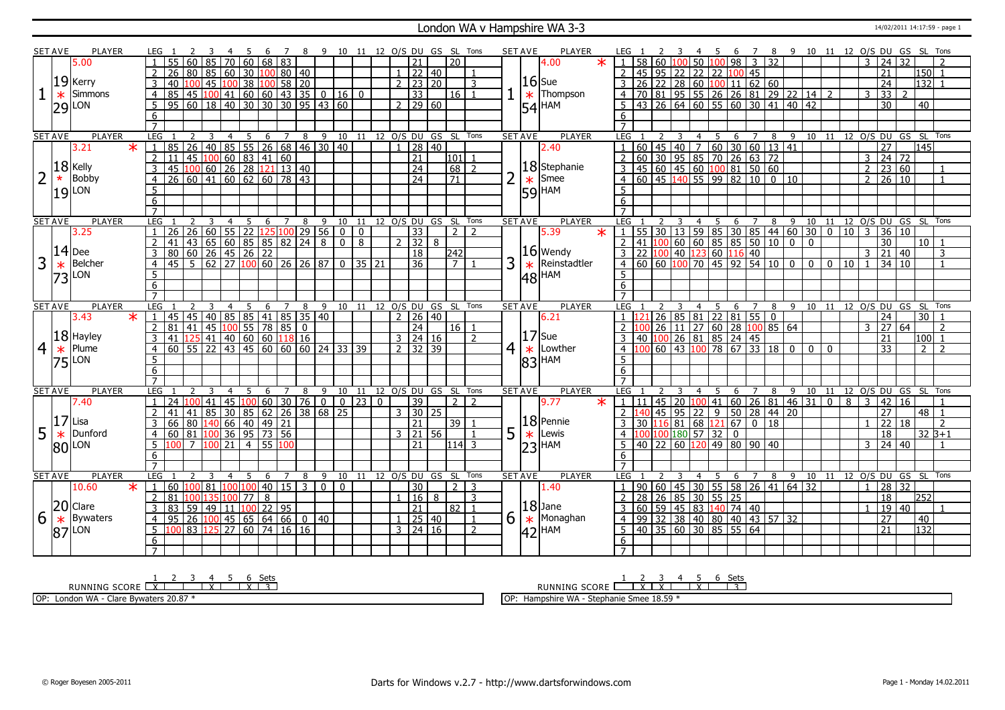#### London WA v Hampshire WA 3-3 14/02/2011 14:17:59 - page 1

|                | <b>SET AVE</b> | <b>PLAYER</b>       |        |                     |                                                                                                                                                                |                       |                              |                |                |              |                |                      |   |                                       |                            |                                                      |                |              |                         |       |                              | 10 11 12 O/S DU GS SL Tons         | <b>SET AVE</b> | <b>PLAYER</b>                   |                                                                                                                                                                                                         |  |                         |                |                  | -6          | $\overline{7}$                                                  | 8 |    |                |                | 9 10 11 12 O/S DU GS SL Tons           |                |                     |                |                 |                |
|----------------|----------------|---------------------|--------|---------------------|----------------------------------------------------------------------------------------------------------------------------------------------------------------|-----------------------|------------------------------|----------------|----------------|--------------|----------------|----------------------|---|---------------------------------------|----------------------------|------------------------------------------------------|----------------|--------------|-------------------------|-------|------------------------------|------------------------------------|----------------|---------------------------------|---------------------------------------------------------------------------------------------------------------------------------------------------------------------------------------------------------|--|-------------------------|----------------|------------------|-------------|-----------------------------------------------------------------|---|----|----------------|----------------|----------------------------------------|----------------|---------------------|----------------|-----------------|----------------|
|                |                | 5.00                |        |                     |                                                                                                                                                                |                       |                              | 70             | 60             | 68 83        |                |                      |   |                                       |                            |                                                      |                |              | 21                      |       | 20                           |                                    |                | 4.00                            | 1   58   60   100                                                                                                                                                                                       |  |                         |                |                  |             | $50 \mid 100 \mid 98 \mid 3 \mid 32$                            |   |    |                |                |                                        | 3              | $\overline{24}$     | 32             |                 |                |
|                |                |                     |        | $\overline{2}$      | 26                                                                                                                                                             | 80                    | 85 60 30                     |                |                |              |                | $100$ 80   40        |   |                                       |                            |                                                      |                |              | $1 \mid 22 \mid 40$     |       |                              | -1                                 |                |                                 | 2 45 95 22 22 22 100 45                                                                                                                                                                                 |  |                         |                |                  |             |                                                                 |   |    |                |                |                                        |                | 21                  |                | $150$ 1         |                |
|                |                | $19$ Kerry          |        | $\overline{3}$      | 40                                                                                                                                                             | 100                   | 45                           | 100 38         |                | 100          |                | 58 20                |   |                                       |                            |                                                      |                |              | $2$ 23 20               |       |                              | 3                                  |                | $16$ Sue                        | $3 \mid 26 \mid 22 \mid 28 \mid 60 \mid 100 \mid 11 \mid 62 \mid 60$                                                                                                                                    |  |                         |                |                  |             |                                                                 |   |    |                |                |                                        |                | $\overline{24}$     |                | $132$ 1         |                |
|                |                | Simmons             |        |                     | $\overline{85}$                                                                                                                                                |                       |                              |                |                |              |                |                      |   |                                       |                            |                                                      |                |              |                         |       | 16 1                         |                                    |                | Thompson                        |                                                                                                                                                                                                         |  |                         |                |                  |             |                                                                 |   |    |                |                |                                        |                | $\overline{33}$     | $\overline{2}$ |                 |                |
|                | $\ast$         |                     |        | $\overline{4}$      |                                                                                                                                                                |                       |                              |                |                |              |                |                      |   |                                       |                            | $\frac{1}{45}$ $\frac{1}{100}$ 41 60 60 43 35 0 16 0 |                |              | $\overline{33}$         |       |                              |                                    |                | $\ast$                          | 4 70 81 95 55 26 26 81 29 22 14 2                                                                                                                                                                       |  |                         |                |                  |             |                                                                 |   |    |                |                |                                        | $\overline{3}$ |                     |                |                 |                |
|                |                | $29$ $\mu$ on       |        | 5                   | 95 60 18 40 30 30 30 95 43 60                                                                                                                                  |                       |                              |                |                |              |                |                      |   |                                       |                            |                                                      |                |              | 2   29   60             |       |                              |                                    |                | 54 HAM                          | $5 \mid 43 \mid 26 \mid 64 \mid 60 \mid 55 \mid 60 \mid 30 \mid 41 \mid 40 \mid 42$                                                                                                                     |  |                         |                |                  |             |                                                                 |   |    |                |                |                                        |                | $\overline{30}$     |                | 40              |                |
|                |                |                     |        | 6                   |                                                                                                                                                                |                       |                              |                |                |              |                |                      |   |                                       |                            |                                                      |                |              |                         |       |                              |                                    |                |                                 | 6                                                                                                                                                                                                       |  |                         |                |                  |             |                                                                 |   |    |                |                |                                        |                |                     |                |                 |                |
|                |                |                     |        | $\overline{7}$      |                                                                                                                                                                |                       |                              |                |                |              |                |                      |   |                                       |                            |                                                      |                |              |                         |       |                              |                                    |                |                                 |                                                                                                                                                                                                         |  |                         |                |                  |             |                                                                 |   |    |                |                |                                        |                |                     |                |                 |                |
|                | <b>SET AVE</b> | <b>PLAYER</b>       |        | LEG                 |                                                                                                                                                                | 2                     | 3                            | $\overline{4}$ | $\overline{5}$ |              |                |                      |   |                                       |                            |                                                      |                |              |                         |       |                              | 6 7 8 9 10 11 12 0/S DU GS SL Tons | <b>SET AVE</b> | <b>PLAYER</b>                   | LEG 1                                                                                                                                                                                                   |  | $\overline{\mathbf{3}}$ |                |                  |             |                                                                 |   |    |                |                | 4 5 6 7 8 9 10 11 12 0/S DU GS SL Tons |                |                     |                |                 |                |
|                |                | 3.21                | $\ast$ |                     | 85                                                                                                                                                             |                       |                              |                |                |              |                |                      |   |                                       | 26 40 85 55 26 68 46 30 40 |                                                      |                |              |                         | 28 40 |                              |                                    |                | 2.40                            |                                                                                                                                                                                                         |  |                         |                |                  |             | 60   45   40   7   60   30   60   13   41                       |   |    |                |                |                                        |                | $\overline{27}$     |                | 145             |                |
|                |                |                     |        | $\overline{2}$      |                                                                                                                                                                |                       |                              |                |                |              |                |                      |   |                                       |                            |                                                      |                |              | 21                      |       | 101  1                       |                                    |                |                                 |                                                                                                                                                                                                         |  |                         |                |                  |             |                                                                 |   |    |                |                |                                        | 3              | $24 \overline{72}$  |                |                 |                |
|                |                | $ 18 $ Kelly        |        | $\overline{3}$      |                                                                                                                                                                |                       |                              |                |                |              |                |                      |   |                                       |                            |                                                      |                |              | $\overline{24}$         |       | 68                           | $\overline{2}$                     |                | $18$ Stephanie                  |                                                                                                                                                                                                         |  |                         |                |                  |             |                                                                 |   |    |                |                |                                        | $\overline{2}$ | 23 60               |                |                 |                |
| $\overline{2}$ | $\star$        | Bobby               |        | $\overline{4}$      | $\frac{111}{11} \frac{45}{100} \frac{100}{60} \frac{60}{26} \frac{33}{28} \frac{41}{41} \frac{60}{60}$<br>45 100 60 26 28 121 13 40<br>26 60 41 60 62 60 78 43 |                       |                              |                |                |              |                |                      |   |                                       |                            |                                                      |                |              | $\overline{24}$         |       | $\overline{171}$             |                                    | $\overline{2}$ | Smee                            |                                                                                                                                                                                                         |  |                         |                |                  |             |                                                                 |   |    |                |                |                                        | $\overline{2}$ | $\frac{1}{26}$ 10   |                |                 |                |
|                |                | $19$ <sup>LON</sup> |        | $\overline{5}$      |                                                                                                                                                                |                       |                              |                |                |              |                |                      |   |                                       |                            |                                                      |                |              |                         |       |                              |                                    |                | $\frac{1}{59}$ Smee             | 5 <sup>1</sup>                                                                                                                                                                                          |  |                         |                |                  |             |                                                                 |   |    |                |                |                                        |                |                     |                |                 |                |
|                |                |                     |        | 6                   |                                                                                                                                                                |                       |                              |                |                |              |                |                      |   |                                       |                            |                                                      |                |              |                         |       |                              |                                    |                |                                 | 6                                                                                                                                                                                                       |  |                         |                |                  |             |                                                                 |   |    |                |                |                                        |                |                     |                |                 |                |
|                |                |                     |        | $\overline{7}$      |                                                                                                                                                                |                       |                              |                |                |              |                |                      |   |                                       |                            |                                                      |                |              |                         |       |                              |                                    |                |                                 | $\overline{7}$                                                                                                                                                                                          |  |                         |                |                  |             |                                                                 |   |    |                |                |                                        |                |                     |                |                 |                |
|                | <b>SET AVE</b> | <b>PLAYER</b>       |        | <b>LEG</b>          |                                                                                                                                                                |                       | 3                            | $\overline{4}$ | - 5            | 6            |                | 7 8                  |   |                                       |                            |                                                      |                |              |                         |       | 9 10 11 12 0/S DU GS SL Tons |                                    | <b>SET AVE</b> | <b>PLAYER</b>                   | LEG 1                                                                                                                                                                                                   |  |                         |                | 4 5              |             |                                                                 |   |    |                |                | 6 7 8 9 10 11 12 0/S DU GS SL Tons     |                |                     |                |                 |                |
|                |                | 3.25                |        | $\overline{1}$      | 26                                                                                                                                                             |                       |                              |                |                |              |                |                      |   |                                       |                            | $26 60 55 22$ $125 100 29 56 0 0$                    |                |              | 33                      |       |                              | $2\sqrt{2}$                        |                | $\overline{\mathbf{x}}$<br>5.39 | 1   55   30   13   59   85   30   85   44   60   30   0   10   3   36   10                                                                                                                              |  |                         |                |                  |             |                                                                 |   |    |                |                |                                        |                |                     |                |                 |                |
|                |                |                     |        |                     |                                                                                                                                                                |                       |                              |                |                |              |                |                      |   | $\overline{8}$                        | $\Omega$                   | 8                                                    |                |              | $\overline{2}$ 32       | 8     |                              |                                    |                |                                 | $2$ 41 100 60 60 85 85 50 10 0                                                                                                                                                                          |  |                         |                |                  |             |                                                                 |   |    | $\overline{0}$ |                |                                        |                | $\frac{1}{30}$      |                | 10 <sup>1</sup> |                |
|                |                | $ 14 $ Dee          |        | 3                   | $\frac{28}{41}$ $\frac{43}{43}$ $\frac{65}{65}$ $\frac{60}{60}$ $\frac{85}{85}$ $\frac{85}{82}$ $\frac{24}{24}$<br>80 60 26 45 26 22                           |                       |                              |                |                |              |                |                      |   |                                       |                            |                                                      |                |              | 18                      |       | 242                          |                                    |                | $16$ Wendy                      | $3$   22   100   40   123   60   116   40                                                                                                                                                               |  |                         |                |                  |             |                                                                 |   |    |                |                |                                        | 3              | 21 40               |                |                 | 3              |
| 3              |                | Belcher             |        |                     | 45                                                                                                                                                             |                       |                              |                |                |              |                |                      |   | 5   62   27   100   60   26   26   87 |                            | $0$ 35 21                                            |                |              | $\overline{36}$         |       | $\overline{7}$               |                                    | 3              | Reinstadtler                    | $4   60   60   100   70   45   92   54   10   0$                                                                                                                                                        |  |                         |                |                  |             |                                                                 |   |    | $\overline{0}$ | $\overline{0}$ | 10 <sup>1</sup>                        |                | 34 10               |                |                 |                |
|                | $\ast$         |                     |        | $\overline{4}$      |                                                                                                                                                                |                       |                              |                |                |              |                |                      |   |                                       |                            |                                                      |                |              |                         |       |                              |                                    |                |                                 |                                                                                                                                                                                                         |  |                         |                |                  |             |                                                                 |   |    |                |                |                                        |                |                     |                |                 |                |
|                |                | 73 LON              |        | $\overline{5}$      |                                                                                                                                                                |                       |                              |                |                |              |                |                      |   |                                       |                            |                                                      |                |              |                         |       |                              |                                    |                | $\frac{1}{148}$ Reins           | 5                                                                                                                                                                                                       |  |                         |                |                  |             |                                                                 |   |    |                |                |                                        |                |                     |                |                 |                |
|                |                |                     |        | 6                   |                                                                                                                                                                |                       |                              |                |                |              |                |                      |   |                                       |                            |                                                      |                |              |                         |       |                              |                                    |                |                                 | 6                                                                                                                                                                                                       |  |                         |                |                  |             |                                                                 |   |    |                |                |                                        |                |                     |                |                 |                |
|                |                |                     |        | $\overline{7}$      |                                                                                                                                                                |                       |                              |                |                |              |                |                      |   |                                       |                            |                                                      |                |              |                         |       |                              |                                    |                |                                 | $\overline{7}$<br>LEG                                                                                                                                                                                   |  |                         |                |                  |             |                                                                 |   |    |                |                |                                        |                |                     |                |                 |                |
|                |                |                     |        |                     |                                                                                                                                                                |                       |                              |                |                |              |                |                      |   |                                       |                            |                                                      |                |              |                         |       |                              |                                    |                |                                 |                                                                                                                                                                                                         |  |                         | 4              |                  |             |                                                                 |   |    |                |                |                                        |                |                     |                |                 |                |
|                | <b>SET AVE</b> | <b>PLAYER</b>       |        | LEG                 |                                                                                                                                                                | $\overline{2}$        | 3                            | 4              | 5              | 6            | $\overline{7}$ |                      | 8 | 9                                     |                            |                                                      |                |              |                         |       |                              | 10 11 12 O/S DU GS SL Tons         | <b>SET AVE</b> | <b>PLAYER</b>                   |                                                                                                                                                                                                         |  |                         |                | 5                | 6           | 7                                                               | 8 | -9 | 10             | 11             | 12 O/S DU GS SL Tons                   |                |                     |                |                 |                |
|                |                | 3.43                | $\ast$ | $\mathbf{1}$        |                                                                                                                                                                |                       |                              |                |                |              |                |                      |   |                                       |                            |                                                      |                |              | $2 \mid 26 \mid 40$     |       |                              |                                    |                | 6.21                            | $1 \quad 121$                                                                                                                                                                                           |  |                         |                |                  |             | $\overline{26}$ 85 81 22 81 55 0                                |   |    |                |                |                                        |                | 24                  |                | 30 <sup>°</sup> |                |
|                |                |                     |        | $\overline{2}$      |                                                                                                                                                                |                       |                              |                |                |              |                |                      |   |                                       |                            |                                                      |                |              | $\overline{24}$         |       | $16$ 1                       |                                    |                |                                 |                                                                                                                                                                                                         |  |                         |                |                  |             |                                                                 |   |    |                |                |                                        | $\mathcal{R}$  | $\sqrt{27}$ 64      |                |                 | $\mathcal{D}$  |
|                |                | $ 18 $ Hayley       |        | $\overline{3}$      |                                                                                                                                                                |                       |                              |                |                |              |                |                      |   |                                       |                            |                                                      |                |              | $3 \mid 24 \mid 16$     |       |                              | $\overline{2}$                     |                | $17$ Sue                        |                                                                                                                                                                                                         |  |                         |                |                  |             |                                                                 |   |    |                |                |                                        |                | 21                  |                | $100$ 1         |                |
| $\overline{4}$ |                | $*$ Plume           |        | $\overline{4}$      | 45 45 40 85 85 41 85 35 40<br>81 41 45 100 55 78 85 0<br>41 125 41 40 60 60 118 16<br>60 55 22 43 45 60 60 60 24 33 39                                         |                       |                              |                |                |              |                |                      |   |                                       |                            |                                                      |                |              | $2 \times 32 \times 39$ |       |                              |                                    | $\overline{4}$ | $\ast$<br>Lowther               | $\begin{array}{r rrrrrr}\n 2 & 100 & 26 & 11 & 27 & 60 & 28 & 100 & 85 & 64 \\ \hline\n 3 & 40 & 100 & 26 & 81 & 85 & 24 & 45 \\ \hline\n 4 & 100 & 60 & 43 & 100 & 78 & 67 & 33 & 18 & 0\n\end{array}$ |  |                         |                |                  |             |                                                                 |   |    | $\overline{0}$ | $\overline{0}$ |                                        |                | $\overline{33}$     |                | $\mathcal{P}$   | $\overline{2}$ |
|                |                |                     |        | $\overline{5}$      |                                                                                                                                                                |                       |                              |                |                |              |                |                      |   |                                       |                            |                                                      |                |              |                         |       |                              |                                    |                |                                 | 5 <sup>1</sup>                                                                                                                                                                                          |  |                         |                |                  |             |                                                                 |   |    |                |                |                                        |                |                     |                |                 |                |
|                |                | 75 LON              |        | 6                   |                                                                                                                                                                |                       |                              |                |                |              |                |                      |   |                                       |                            |                                                      |                |              |                         |       |                              |                                    |                | $ 83 $ HAM                      | 6                                                                                                                                                                                                       |  |                         |                |                  |             |                                                                 |   |    |                |                |                                        |                |                     |                |                 |                |
|                |                |                     |        | $\overline{7}$      |                                                                                                                                                                |                       |                              |                |                |              |                |                      |   |                                       |                            |                                                      |                |              |                         |       |                              |                                    |                |                                 | $\overline{7}$                                                                                                                                                                                          |  |                         |                |                  |             |                                                                 |   |    |                |                |                                        |                |                     |                |                 |                |
|                | <b>SET AVE</b> | <b>PLAYER</b>       |        | LEG                 |                                                                                                                                                                |                       |                              |                |                | -6           | $\overline{7}$ |                      | 8 |                                       |                            |                                                      |                |              |                         |       | 9 10 11 12 O/S DU GS SL Tons |                                    | <b>SET AVE</b> | <b>PLAYER</b>                   | LEG                                                                                                                                                                                                     |  |                         | $\overline{4}$ | -5               | 6           | $\overline{7}$                                                  | 8 | 9  |                |                | 10 11 12 O/S DU GS SL Tons             |                |                     |                |                 |                |
|                |                | 7.40                |        |                     | 24                                                                                                                                                             | 100.                  | 41                           | 45             |                | 100 60       |                | 30 76                |   | $\boxed{0}$                           |                            | 0  23                                                | $\overline{0}$ |              | 39                      |       | $\overline{2}$               | $\overline{2}$                     |                | 9.77                            | $1 \mid 11$                                                                                                                                                                                             |  |                         |                |                  |             | $145$   20 $\left  100 \right $ 41   60   26   81   46   31   0 |   |    |                |                | $8 \mid 3$                             |                | $142 \mid 16$       |                |                 |                |
|                |                |                     |        | $\overline{2}$      | 41                                                                                                                                                             | 41                    | 85 30 85 62                  |                |                |              | 26             |                      |   |                                       | 38   68   25               |                                                      |                |              | 3   30   25             |       |                              |                                    |                |                                 | 2   140   45   95   22   9   50   28   44   20                                                                                                                                                          |  |                         |                |                  |             |                                                                 |   |    |                |                |                                        |                | $\overline{27}$     |                | 48              | $\overline{1}$ |
|                | 17             | Lisa                |        | 3                   | 66                                                                                                                                                             | $ 80\rangle$          |                              |                |                |              |                |                      |   |                                       |                            |                                                      |                |              | 21                      |       | 39                           |                                    |                |                                 | $\overline{3}$                                                                                                                                                                                          |  |                         |                |                  |             |                                                                 |   |    |                |                |                                        |                | $\overline{22}$     | 18             |                 | 2              |
|                |                | Dunford             |        | $\overline{4}$      | 60                                                                                                                                                             |                       | 14066404921                  |                |                |              |                |                      |   |                                       |                            |                                                      |                |              |                         |       |                              | $\overline{1}$                     |                | $18$ Pennie                     |                                                                                                                                                                                                         |  |                         |                | 30 116 81 68 121 | $\mathbf 0$ | $67$ 0 18                                                       |   |    |                |                |                                        |                |                     |                |                 |                |
| 5              | $\ast$         |                     |        |                     | 100                                                                                                                                                            | 81 <br>$\overline{7}$ | $100$ 36 95 73 56            |                |                |              |                |                      |   |                                       |                            |                                                      |                |              | $3 \ 21 \ 56$           |       |                              |                                    | 5              | Lewis<br>$\ast$                 | 4 100 100 180 57 32                                                                                                                                                                                     |  |                         |                |                  |             |                                                                 |   |    |                |                |                                        |                | 18                  |                |                 | $32B+1$        |
|                |                | 80 LON              |        | 5                   |                                                                                                                                                                |                       | 100 21                       |                |                | 4   55   100 |                |                      |   |                                       |                            |                                                      |                |              | 21                      |       | $114$ 3                      |                                    |                | $23$ HAM                        | $5   40   22   60   120   49   80   90   40$                                                                                                                                                            |  |                         |                |                  |             |                                                                 |   |    |                |                |                                        |                | $3 \mid 24 \mid 40$ |                |                 |                |
|                |                |                     |        | 6<br>$\overline{7}$ |                                                                                                                                                                |                       |                              |                |                |              |                |                      |   |                                       |                            |                                                      |                |              |                         |       |                              |                                    |                |                                 | 6                                                                                                                                                                                                       |  |                         |                |                  |             |                                                                 |   |    |                |                |                                        |                |                     |                |                 |                |
|                |                |                     |        |                     |                                                                                                                                                                |                       |                              |                |                |              |                |                      |   |                                       |                            |                                                      |                |              |                         |       |                              |                                    |                |                                 |                                                                                                                                                                                                         |  |                         |                |                  |             |                                                                 |   |    |                |                |                                        |                |                     |                |                 |                |
|                | <b>SET AVE</b> | <b>PLAYER</b>       |        | LEG                 |                                                                                                                                                                | $\overline{2}$        | 3                            | $\overline{4}$ | 5              | 6            | $7^{\circ}$    |                      | 8 |                                       |                            |                                                      |                |              |                         |       | 9 10 11 12 0/S DU GS SL      | Tons                               | <b>SET AVE</b> | <b>PLAYER</b>                   | LEG                                                                                                                                                                                                     |  |                         |                | 4 5              | 6           | $\overline{7}$                                                  | 8 |    |                |                | 9 10 11 12 O/S DU GS SL Tons           |                |                     |                |                 |                |
|                |                | 10.60               | $\ast$ | 1                   | 60                                                                                                                                                             | 100 81                |                              |                |                |              |                | $100100$ 40   15   3 |   | $\overline{0}$                        | $\mathbf{0}$               |                                                      |                |              | 30 <sup>°</sup>         |       | $\overline{2}$               | -3                                 |                | 1.40                            | 1 90 60 45 30 55 58 26 41 64 32                                                                                                                                                                         |  |                         |                |                  |             |                                                                 |   |    |                |                |                                        | $\overline{1}$ | 28 32               |                |                 |                |
|                |                |                     |        | $\overline{2}$      | 81                                                                                                                                                             |                       | 100 135 100 77               |                |                | 8            |                |                      |   |                                       |                            |                                                      |                |              | 16                      | 8     |                              | 3                                  |                |                                 | 2 28 26 85 30 55 25                                                                                                                                                                                     |  |                         |                |                  |             |                                                                 |   |    |                |                |                                        |                | 18                  |                | 252             |                |
|                |                | $20$ Clare          |        | $\overline{3}$      | 83                                                                                                                                                             |                       | 59   49   11   100   22   95 |                |                |              |                |                      |   |                                       |                            |                                                      |                |              | $\overline{21}$         |       | 82 1                         |                                    |                | $ 18 $ Jane                     | 3   60   59   45   83   140   74   40                                                                                                                                                                   |  |                         |                |                  |             |                                                                 |   |    |                |                |                                        | $\mathbf{1}$   | 19                  | 40             |                 |                |
| 6              | $\ast$         | <b>Bywaters</b>     |        | $\overline{4}$      | 95                                                                                                                                                             |                       | 26 100 45 65 64 66           |                |                |              |                |                      |   | $0 \mid 40$                           |                            |                                                      |                | $\mathbf{1}$ |                         | 25 40 |                              | $\mathbf{1}$                       | 6              | $\ast$<br>Monaghan              | 4 99 32 38 40 80 40 43 57 32                                                                                                                                                                            |  |                         |                |                  |             |                                                                 |   |    |                |                |                                        |                | $\overline{27}$     |                | 40              |                |
|                |                | $87$ <sup>LON</sup> |        | 5                   | 100 83 125 27 60 74 16 16                                                                                                                                      |                       |                              |                |                |              |                |                      |   |                                       |                            |                                                      |                |              | $3 \mid 24 \mid 16$     |       |                              | $\overline{2}$                     |                | $42$ HAM                        | $5 \mid 40 \mid 35 \mid 60 \mid 30 \mid 85 \mid 55 \mid 64$                                                                                                                                             |  |                         |                |                  |             |                                                                 |   |    |                |                |                                        |                | $\overline{21}$     |                | 132             |                |
|                |                |                     |        | 6<br>$\overline{7}$ |                                                                                                                                                                |                       |                              |                |                |              |                |                      |   |                                       |                            |                                                      |                |              |                         |       |                              |                                    |                |                                 | 6                                                                                                                                                                                                       |  |                         |                |                  |             |                                                                 |   |    |                |                |                                        |                |                     |                |                 |                |

RUNNING SCORE 1 X 2 3 4 X 5 6 X Sets 3

OP: London WA - Clare Bywaters 20.87 \*

RUNNING SCORE 1 2 X 3 X 4 5 X 6 Sets 3 OP: Hampshire WA - Stephanie Smee 18.59 \*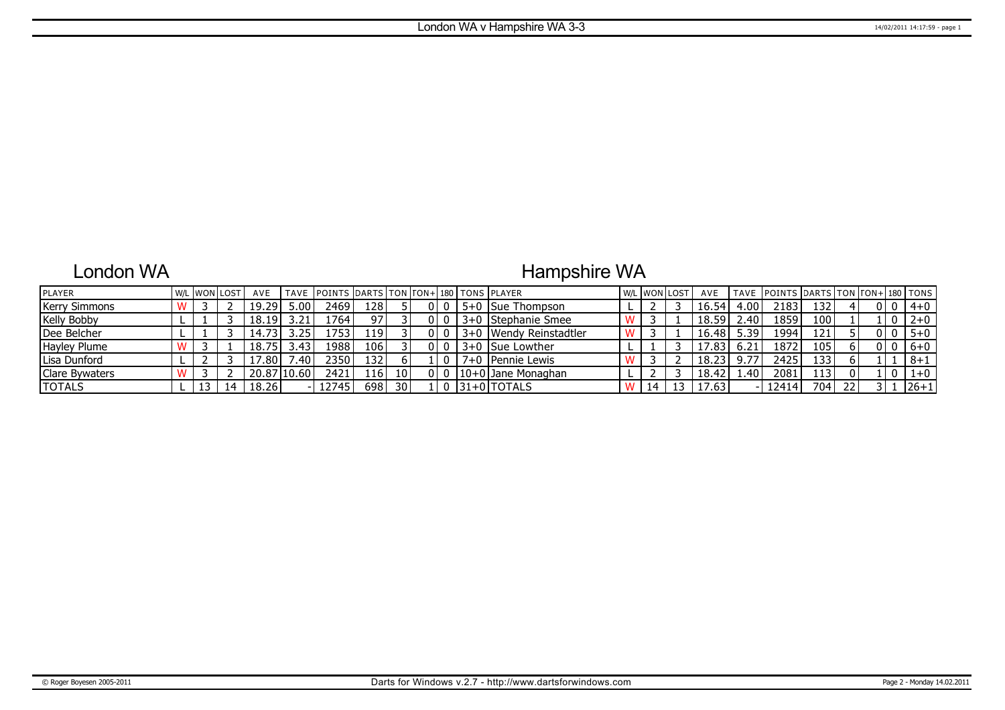### London WA

## Hampshire WA

| <b>IPLAYER</b>       |  | W/L WON LOST | AVE   |                | TAVE IPOINTS IDARTS ITON ITON+1180 I TONS IPLAYER |       |                 |       |                        | W/L WON LOST |    | AVE   |      | TAVE POINTS DARTS TON TON+ 180 TONS |      |    |      |         |
|----------------------|--|--------------|-------|----------------|---------------------------------------------------|-------|-----------------|-------|------------------------|--------------|----|-------|------|-------------------------------------|------|----|------|---------|
| <b>Kerry Simmons</b> |  |              | 19.29 | 5.00           | 2469                                              | 1281  |                 |       | 5+0 Sue Thompson       |              |    | 16.54 | 4.00 | 2183                                | 132' |    |      | $4 + 0$ |
| <b>Kelly Bobby</b>   |  |              | 18.19 | 3.21           | 1764                                              | 97    |                 |       | 3+0 Stephanie Smee     |              |    | 18.59 | 2.40 | 1859                                | 100  |    |      | $2 + 0$ |
| Dee Belcher          |  |              | 14.73 | $3.25^{\circ}$ | 1753                                              | 119 I |                 |       | 3+0 Wendy Reinstadtler |              |    | 16.48 | 5.39 | 1994                                | 121  |    |      | $5 + 0$ |
| Hayley Plume         |  |              | 18.75 | 3.43'          | 1988                                              | 106 l |                 |       | 3+0 Sue Lowther        |              |    | 17.83 | 6.21 | 1872                                | 105  |    |      | $6+0$   |
| Lisa Dunford         |  |              | 7.80  | .40            | 2350                                              | 132 I |                 |       | 7+0   Pennie Lewis     |              |    | 18.23 | 9.77 | 2425                                | 133  |    |      | $8 + 1$ |
| Clare Bywaters       |  |              |       | 20.87110.60    | 2421                                              | 116 l | 10              | 010   | $ 10+0 $ Jane Monaghan |              |    | 18.42 | .40  | 2081                                | 1131 |    |      | $1 + 0$ |
| <b>TOTALS</b>        |  |              | 18.26 |                | 12745                                             | 698   | 30 <sub>1</sub> | . I 0 | $ 31+0 $ TOTALS        | 14           | 13 | 17.63 |      | 12414                               | 704  | 22 | 31 F | 26+1    |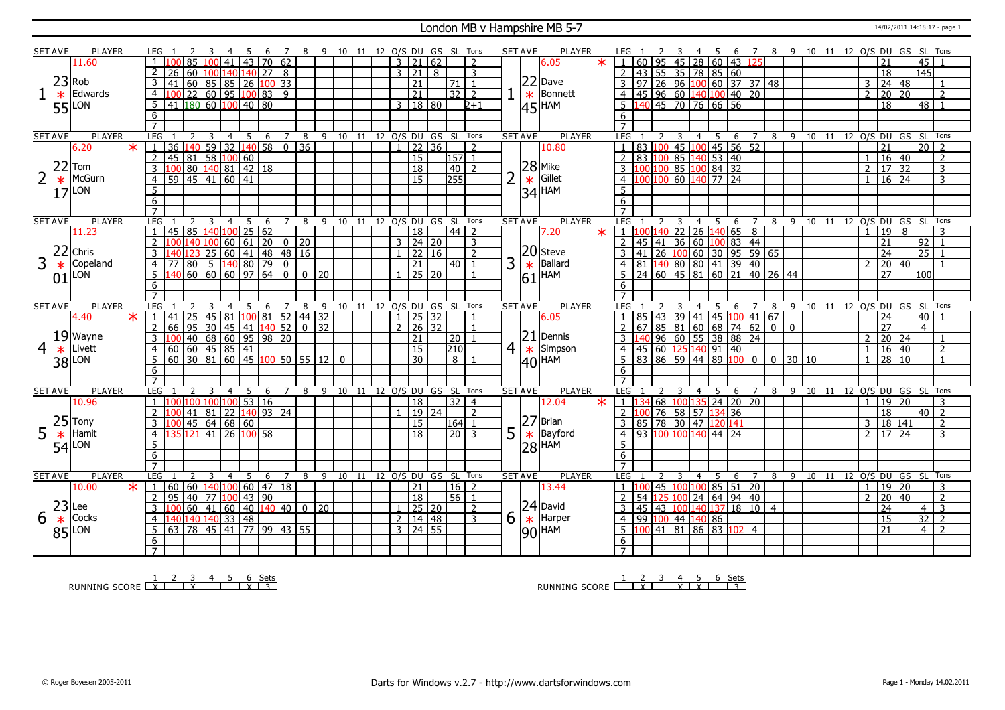#### London MB v Hampshire MB 5-7 14/02/2011 14:18:17 - page 1

|                | <b>SET AVE</b> | PLAYER                    |                            | LEG 1                                                                                                                                                                                                                                                                                                        |                 | $\overline{4}$                                                  | -5          | -6          | $\overline{7}$    |                 |          |   |    |    |                      |                |                                    | 8 9 10 11 12 O/S DU GS SL Tons |                                    |                | <b>SET AVE</b> |        | PLAYER                |         | LEG 1          |     |                  |   |                |                |                      |                                                                       |   |    | 4 5 6 7 8 9 10 11 12 O/S DU GS SL Tons |    |  |                |                                                                           |              |                            |                |  |
|----------------|----------------|---------------------------|----------------------------|--------------------------------------------------------------------------------------------------------------------------------------------------------------------------------------------------------------------------------------------------------------------------------------------------------------|-----------------|-----------------------------------------------------------------|-------------|-------------|-------------------|-----------------|----------|---|----|----|----------------------|----------------|------------------------------------|--------------------------------|------------------------------------|----------------|----------------|--------|-----------------------|---------|----------------|-----|------------------|---|----------------|----------------|----------------------|-----------------------------------------------------------------------|---|----|----------------------------------------|----|--|----------------|---------------------------------------------------------------------------|--------------|----------------------------|----------------|--|
|                |                | 11.60                     |                            |                                                                                                                                                                                                                                                                                                              | 85 100          | l 41                                                            | $\sqrt{43}$ |             | 70 62             |                 |          |   |    |    |                      | 3   21         |                                    | 162                            |                                    | $\overline{2}$ |                |        | 6.05                  | $\star$ |                |     |                  |   |                |                |                      | 60 95 45 28 60 43 125                                                 |   |    |                                        |    |  |                |                                                                           |              | 45                         |                |  |
|                |                |                           | 2                          | 26                                                                                                                                                                                                                                                                                                           |                 | 60 100 140 140 27                                               |             |             | 8                 |                 |          |   |    |    |                      |                | $3 \mid 21$                        | 8                              |                                    | 3              |                |        |                       |         |                |     |                  |   |                |                | 43 55 35 78 85 60    |                                                                       |   |    |                                        |    |  |                | $\overline{18}$                                                           |              | $\overline{145}$           |                |  |
|                |                | $23$ Rob                  | 3                          | 41                                                                                                                                                                                                                                                                                                           |                 |                                                                 |             |             |                   |                 |          |   |    |    |                      |                | $\overline{21}$                    |                                | $\overline{71}$                    | $\overline{1}$ |                |        | $ 22 $ Dave           |         |                |     |                  |   |                |                |                      | $97$ 26 96 100 60 37 37 48                                            |   |    |                                        |    |  | 3              | 24 48                                                                     |              |                            |                |  |
|                |                | Edwards                   | $\overline{4}$             | 100                                                                                                                                                                                                                                                                                                          |                 | 60 85 85 26 100 33                                              |             |             |                   |                 |          |   |    |    |                      |                |                                    |                                | $32$   2                           |                |                |        | Bonnett               |         | $\overline{4}$ |     |                  |   |                |                |                      |                                                                       |   |    |                                        |    |  |                | $2 \ 20 \ 20$                                                             |              |                            | $\overline{2}$ |  |
|                | $\ast$         |                           |                            |                                                                                                                                                                                                                                                                                                              |                 |                                                                 |             |             |                   |                 |          |   |    |    |                      |                | $\overline{21}$                    |                                |                                    |                |                | $\ast$ |                       |         |                |     |                  |   |                |                |                      | 45 96 60 140 100 40 20                                                |   |    |                                        |    |  |                |                                                                           |              |                            |                |  |
|                |                | $55$ <sup>LON</sup>       | 5                          | $41 \overline{180} \overline{60} \overline{100} \overline{40} \overline{80}$                                                                                                                                                                                                                                 |                 |                                                                 |             |             |                   |                 |          |   |    |    |                      |                | 3   18   80                        |                                |                                    | $2 + 1$        |                |        | $ 45 $ <sup>HAM</sup> |         | 5              |     |                  |   |                |                | 140 45 70 76 66 56   |                                                                       |   |    |                                        |    |  |                | 18                                                                        |              | 48                         |                |  |
|                |                |                           | 6                          |                                                                                                                                                                                                                                                                                                              |                 |                                                                 |             |             |                   |                 |          |   |    |    |                      |                |                                    |                                |                                    |                |                |        |                       |         | 6              |     |                  |   |                |                |                      |                                                                       |   |    |                                        |    |  |                |                                                                           |              |                            |                |  |
|                |                |                           |                            |                                                                                                                                                                                                                                                                                                              |                 |                                                                 |             |             |                   |                 |          |   |    |    |                      |                |                                    |                                |                                    |                |                |        |                       |         |                |     |                  |   |                |                |                      |                                                                       |   |    |                                        |    |  |                |                                                                           |              |                            |                |  |
|                | <b>SET AVE</b> | <b>PLAYER</b>             | LEG                        |                                                                                                                                                                                                                                                                                                              | 3               | $\overline{4}$                                                  | 5           | $6^{\circ}$ | $\overline{7}$    | 8               |          |   |    |    |                      |                |                                    | 9 10 11 12 O/S DU GS SL Tons   |                                    |                | <b>SET AVE</b> |        | <b>PLAYER</b>         |         | LEG.           |     |                  |   |                | 4 <sub>5</sub> | 6                    | $\overline{7}$                                                        |   |    | 8 9 10 11 12 0/S DU GS SL Tons         |    |  |                |                                                                           |              |                            |                |  |
|                |                | 6.20<br>$\ast$            |                            | $\overline{36}$                                                                                                                                                                                                                                                                                              |                 | $140$ 59 32 140 58 0                                            |             |             |                   | $\overline{36}$ |          |   |    |    |                      | $\mathbf{1}$   | 22 36                              |                                |                                    | $\overline{2}$ |                |        | 10.80                 |         |                |     |                  |   |                |                |                      | 83 100 45 100 45 56 52<br>83 100 85 140 53 40<br>100 100 85 100 84 32 |   |    |                                        |    |  |                | 21                                                                        |              | $\overline{20}$            |                |  |
|                |                |                           | $\overline{2}$             | $\overline{45}$                                                                                                                                                                                                                                                                                              |                 |                                                                 |             |             |                   |                 |          |   |    |    |                      |                | $\overline{15}$                    |                                | $157$ 1                            |                |                |        |                       |         | $\overline{2}$ |     |                  |   |                |                |                      |                                                                       |   |    |                                        |    |  | 1              | $\frac{16}{16}$ 40                                                        |              |                            | 2              |  |
|                | 22             | Tom                       | $\overline{3}$             | 0 <sup>c</sup>                                                                                                                                                                                                                                                                                               |                 | 81 58 100 60                                                    |             |             |                   |                 |          |   |    |    |                      |                | $\overline{18}$                    |                                | 40                                 | $\overline{2}$ |                |        | $28$ Mike             |         | 3              |     |                  |   |                |                |                      |                                                                       |   |    |                                        |    |  | $\overline{2}$ |                                                                           |              |                            | $\overline{3}$ |  |
|                | $\ast$         | McGurn                    | $\overline{4}$             | 59   45   41   60   41                                                                                                                                                                                                                                                                                       |                 |                                                                 |             |             |                   |                 |          |   |    |    |                      |                | $\overline{15}$                    |                                | 255                                |                | $\overline{2}$ | $\ast$ | Gillet                |         | $\overline{4}$ | 00  |                  |   |                |                | 100 60 140 77 24     |                                                                       |   |    |                                        |    |  | $\overline{1}$ | $16 \overline{)24}$                                                       |              |                            | 3              |  |
|                | 17             | LON                       | 5                          |                                                                                                                                                                                                                                                                                                              |                 |                                                                 |             |             |                   |                 |          |   |    |    |                      |                |                                    |                                |                                    |                |                |        | $ 34 $ HAM            |         | 5              |     |                  |   |                |                |                      |                                                                       |   |    |                                        |    |  |                |                                                                           |              |                            |                |  |
|                |                |                           | 6                          |                                                                                                                                                                                                                                                                                                              |                 |                                                                 |             |             |                   |                 |          |   |    |    |                      |                |                                    |                                |                                    |                |                |        |                       |         | 6              |     |                  |   |                |                |                      |                                                                       |   |    |                                        |    |  |                |                                                                           |              |                            |                |  |
|                |                |                           | $\overline{7}$             |                                                                                                                                                                                                                                                                                                              |                 |                                                                 |             |             |                   |                 |          |   |    |    |                      |                |                                    |                                |                                    |                |                |        |                       |         | $\overline{7}$ |     |                  |   |                |                |                      |                                                                       |   |    |                                        |    |  |                |                                                                           |              |                            |                |  |
|                | <b>SET AVE</b> | <b>PLAYER</b>             |                            | LEG <sub>1</sub>                                                                                                                                                                                                                                                                                             | -3              | $\overline{4}$                                                  | - 5         | -6          | $\overline{7}$    | 8               | -9       |   |    |    |                      |                |                                    | 10 11 12 O/S DU GS SL Tons     |                                    |                | <b>SET AVE</b> |        | <b>PLAYER</b>         |         | LEG            |     |                  |   | $\overline{4}$ | - 5            | 6                    | $\overline{7}$                                                        |   | 89 | 10                                     |    |  |                |                                                                           |              | 11 12 O/S DU GS SL Tons    |                |  |
|                |                | 11.23                     |                            | 45 85 140 100 25 62<br>100 140 100 60 61 20 0 20                                                                                                                                                                                                                                                             |                 |                                                                 |             |             |                   |                 |          |   |    |    |                      |                | 18                                 |                                | $44$   2                           |                |                |        | 7.20                  | $\ast$  | 1 <sup>1</sup> | 100 |                  |   |                |                |                      | 140 22 26 140 65 8                                                    |   |    |                                        |    |  | $\overline{1}$ | $\overline{19}$                                                           | l 8          |                            | 3              |  |
|                |                |                           | 2                          |                                                                                                                                                                                                                                                                                                              |                 |                                                                 |             |             |                   |                 |          |   |    |    |                      |                | $3 \ 24 \ 20$                      |                                |                                    | 3              |                |        |                       |         | $\overline{2}$ |     |                  |   |                |                |                      | 45 41 36 60 100 83 44                                                 |   |    |                                        |    |  |                | $\overline{21}$                                                           |              | $\frac{92}{25}$            |                |  |
|                | 22             | Chris                     |                            |                                                                                                                                                                                                                                                                                                              |                 | 123 25 60 41 48 48 16<br>80 5 140 80 79 0<br>60 60 60 97 64 0 0 |             |             |                   |                 |          |   |    |    |                      |                | $1 \mid 22 \mid 16$                |                                |                                    | $\overline{2}$ |                |        | $ 20 $ Steve          |         |                |     |                  |   |                |                |                      | 41 26 100 60 30 95 59 65                                              |   |    |                                        |    |  |                | 24                                                                        |              |                            |                |  |
| 3              | $\ast$         | Copeland                  | $\overline{4}$             | 77                                                                                                                                                                                                                                                                                                           |                 |                                                                 |             |             |                   |                 |          |   |    |    |                      |                | 21                                 |                                | 40                                 |                | 3              | $\ast$ | Ballard               |         | $\overline{4}$ |     |                  |   |                |                |                      | 81 140 80 80 41 39 40                                                 |   |    |                                        |    |  |                | 20 40                                                                     |              |                            |                |  |
|                | 01             | LON                       | -5                         |                                                                                                                                                                                                                                                                                                              |                 |                                                                 |             |             |                   |                 | $0$   20 |   |    |    |                      | $\overline{1}$ | 25 20                              |                                |                                    |                |                |        | $61$ <sup>HAM</sup>   |         |                |     |                  |   |                |                |                      | 24 60 45 81 60 21 40 26 44                                            |   |    |                                        |    |  |                | $\overline{27}$                                                           |              | 100                        |                |  |
|                |                |                           | 6                          |                                                                                                                                                                                                                                                                                                              |                 |                                                                 |             |             |                   |                 |          |   |    |    |                      |                |                                    |                                |                                    |                |                |        |                       |         | 6              |     |                  |   |                |                |                      |                                                                       |   |    |                                        |    |  |                |                                                                           |              |                            |                |  |
|                |                |                           | $\overline{7}$             |                                                                                                                                                                                                                                                                                                              |                 |                                                                 |             |             |                   |                 |          |   |    |    |                      |                |                                    |                                |                                    |                |                |        |                       |         | $\overline{7}$ |     |                  |   |                |                |                      |                                                                       |   |    |                                        |    |  |                |                                                                           |              |                            |                |  |
| <b>SET AVE</b> |                |                           |                            |                                                                                                                                                                                                                                                                                                              |                 |                                                                 | 5           |             |                   |                 |          |   | 10 | 11 | 12 O/S DU GS SL Tons |                |                                    |                                |                                    |                |                |        |                       |         | <b>LEG</b>     |     |                  |   | 4              | 5              | 6                    |                                                                       | 8 | 9  |                                        |    |  |                | 12 O/S DU GS SL Tons                                                      |              |                            |                |  |
|                |                | <b>PLAYER</b>             | LEG                        |                                                                                                                                                                                                                                                                                                              |                 | 4                                                               |             | 6           |                   | 8               |          | 9 |    |    |                      |                |                                    |                                |                                    |                | <b>SET AVE</b> |        | <b>PLAYER</b>         |         |                |     |                  |   |                |                |                      |                                                                       |   |    | 10                                     | 11 |  |                |                                                                           |              |                            |                |  |
|                |                | 4.40<br>$\star$           | $\overline{1}$             |                                                                                                                                                                                                                                                                                                              |                 |                                                                 |             |             |                   |                 |          |   |    |    |                      |                | $1 \mid 25 \mid 32$                |                                |                                    |                |                |        | 6.05                  |         |                |     |                  |   |                |                |                      |                                                                       |   |    |                                        |    |  |                | $\overline{24}$                                                           |              | 40                         |                |  |
|                |                |                           | <sup>2</sup>               |                                                                                                                                                                                                                                                                                                              |                 |                                                                 |             |             |                   |                 |          |   |    |    |                      |                | $2 \mid 26 \mid 32$                |                                |                                    | $\overline{1}$ |                |        |                       |         | $\overline{2}$ |     |                  |   |                |                |                      | 85 43 39 41 45 100 41 67                                              |   |    |                                        |    |  |                | $\overline{27}$                                                           |              | $\overline{4}$             |                |  |
|                |                |                           | $\overline{3}$             |                                                                                                                                                                                                                                                                                                              |                 |                                                                 |             |             |                   |                 |          |   |    |    |                      |                | 21                                 |                                | 20 <sup>1</sup>                    |                |                |        | $ 21 $ Dennis         |         |                | 140 |                  |   |                |                |                      | $67$ 85 81 60 68 74 62 0 0                                            |   |    |                                        |    |  | $\overline{z}$ |                                                                           |              |                            |                |  |
|                |                | $19$ Wayne<br>Livett      | $\overline{4}$             |                                                                                                                                                                                                                                                                                                              |                 |                                                                 |             |             |                   |                 |          |   |    |    |                      |                |                                    |                                |                                    |                |                |        |                       |         | $\overline{4}$ |     |                  |   |                |                |                      | $96 \ 60 \ 55 \ 38 \ 88 \ 24$                                         |   |    |                                        |    |  | $\overline{1}$ |                                                                           |              |                            | $\overline{2}$ |  |
| 4              | $\ast$         |                           |                            |                                                                                                                                                                                                                                                                                                              |                 |                                                                 |             |             |                   |                 |          |   |    |    |                      |                | $\overline{15}$<br>$\overline{30}$ |                                | $\overline{210}$<br>8 <sup>1</sup> |                | 4 <sup>1</sup> |        | $\star$ Simpson       |         |                |     |                  |   |                |                | 45 60 125 140 91 40  |                                                                       |   |    | $0$ 30 10                              |    |  | $\overline{1}$ | $\begin{array}{ c c c }\n\hline\n20 & 24 \\ \hline\n16 & 40\n\end{array}$ |              |                            | $\overline{1}$ |  |
|                |                | 38 LON                    |                            | $\frac{1}{141}$ $\frac{25}{25}$ $\frac{45}{45}$ $\frac{1}{81}$ $\frac{100}{100}$ $\frac{81}{81}$ $\frac{52}{52}$ $\frac{44}{49}$ $\frac{32}{32}$<br>$\frac{166}{100}$ $\frac{49}{40}$ $\frac{68}{60}$ $\frac{60}{60}$ $\frac{45}{45}$ $\frac{85}{41}$<br>$\frac{41}{60}$ $\frac{45}{30}$ $\frac{81}{60}$ $\$ |                 |                                                                 |             |             |                   |                 |          |   |    |    |                      |                |                                    |                                |                                    |                |                |        | $ 40 $ HAM            |         | 6              |     |                  |   |                |                |                      | 83   86   59   44   89   100   0                                      |   |    |                                        |    |  |                | $\frac{1}{28}$ 10                                                         |              |                            |                |  |
|                |                |                           | 6                          |                                                                                                                                                                                                                                                                                                              |                 |                                                                 |             |             |                   |                 |          |   |    |    |                      |                |                                    |                                |                                    |                |                |        |                       |         |                |     |                  |   |                |                |                      |                                                                       |   |    |                                        |    |  |                |                                                                           |              |                            |                |  |
|                | <b>SET AVE</b> | PLAYER                    | <b>LEG</b>                 |                                                                                                                                                                                                                                                                                                              |                 | $\overline{4}$                                                  | -5          | 6           | $\overline{7}$    | 8               | 9        |   |    |    |                      |                |                                    | 10 11 12 0/S DU GS SL Tons     |                                    |                | <b>SET AVE</b> |        | <b>PLAYER</b>         |         | <b>LEG</b>     |     |                  |   | $\overline{4}$ | 5              | 6                    | $\overline{7}$                                                        | 8 | 9  |                                        |    |  |                |                                                                           |              | 10 11 12 0/S DU GS SL Tons |                |  |
|                |                | 10.96                     |                            |                                                                                                                                                                                                                                                                                                              |                 |                                                                 |             |             |                   |                 |          |   |    |    |                      |                |                                    |                                |                                    | $\overline{4}$ |                |        |                       | $\ast$  | 1              |     |                  |   |                |                |                      |                                                                       |   |    |                                        |    |  | $\overline{1}$ |                                                                           |              |                            | 3              |  |
|                |                |                           |                            |                                                                                                                                                                                                                                                                                                              |                 | .00 100 100 53 16                                               |             |             |                   |                 |          |   |    |    |                      |                | 18                                 |                                | 32                                 |                |                |        | 12.04                 |         |                |     |                  |   |                |                |                      | 68 100 135 24 20 20                                                   |   |    |                                        |    |  |                | 19 20                                                                     |              |                            |                |  |
|                |                |                           |                            |                                                                                                                                                                                                                                                                                                              | $41 \,   \, 81$ |                                                                 |             |             | 22  140   93   24 |                 |          |   |    |    |                      |                | 19 24                              |                                |                                    | $\overline{2}$ |                |        |                       |         | 2              | 100 |                  |   |                |                | 76 58 57 134 36      |                                                                       |   |    |                                        |    |  |                | 18                                                                        |              |                            | $40$   2       |  |
|                |                |                           | 3                          |                                                                                                                                                                                                                                                                                                              |                 | $45 \mid 64 \mid 68 \mid 60$                                    |             |             |                   |                 |          |   |    |    |                      |                | 15                                 |                                | 164 1                              |                |                |        | $ 27 $ Brian          |         | 3              |     |                  |   |                |                | 85 78 30 47 120 141  |                                                                       |   |    |                                        |    |  | $\mathbf{3}$   | 18 141                                                                    |              |                            | 2              |  |
| 5              |                | $25$ Tony<br>$\ast$ Hamit | $\overline{4}$             |                                                                                                                                                                                                                                                                                                              |                 | 121 41 26 100 58                                                |             |             |                   |                 |          |   |    |    |                      |                | $\overline{18}$                    |                                | $\overline{20}$                    | 3              | 5              |        | $\star$ Bayford       |         | $\overline{4}$ |     |                  |   |                |                | 93 100 100 140 44 24 |                                                                       |   |    |                                        |    |  | $\overline{2}$ | $17 \overline{\smash{)}24}$                                               |              |                            | 3              |  |
|                | 54             | LON                       | 5                          |                                                                                                                                                                                                                                                                                                              |                 |                                                                 |             |             |                   |                 |          |   |    |    |                      |                |                                    |                                |                                    |                |                |        | $ 28 $ HAM            |         | 5              |     |                  |   |                |                |                      |                                                                       |   |    |                                        |    |  |                |                                                                           |              |                            |                |  |
|                |                |                           | $\overline{6}$             |                                                                                                                                                                                                                                                                                                              |                 |                                                                 |             |             |                   |                 |          |   |    |    |                      |                |                                    |                                |                                    |                |                |        |                       |         | 6              |     |                  |   |                |                |                      |                                                                       |   |    |                                        |    |  |                |                                                                           |              |                            |                |  |
|                |                |                           | $\overline{7}$             |                                                                                                                                                                                                                                                                                                              |                 |                                                                 |             |             |                   |                 |          |   |    |    |                      |                |                                    |                                |                                    |                |                |        |                       |         | $\overline{7}$ |     |                  |   |                |                |                      |                                                                       |   |    |                                        |    |  |                |                                                                           |              |                            |                |  |
|                | <b>SET AVE</b> | <b>PLAYER</b>             |                            | LEG <sub>1</sub><br><sup>2</sup>                                                                                                                                                                                                                                                                             | $\overline{3}$  | $\overline{4}$                                                  | 5           | 6           | 7                 | 8               |          | 9 |    |    |                      |                |                                    | 10 11 12 O/S DU GS SL Tons     |                                    |                | <b>SET AVE</b> |        | <b>PLAYER</b>         |         | LEG            |     |                  | 3 | $\overline{4}$ | 5              | 6                    | $\overline{7}$                                                        | 8 |    | 9 10 11 12 0/S DU GS SL                |    |  |                |                                                                           |              |                            | Tons           |  |
|                |                | 10.00<br>$\ast$           | $\mathbb{E}[\mathbb{I}]$ . | 60                                                                                                                                                                                                                                                                                                           |                 | 60   140   100   60   47   18                                   |             |             |                   |                 |          |   |    |    |                      |                | 21                                 |                                | $16$   2                           |                |                |        | 13.44                 |         | $\overline{1}$ | LOC |                  |   |                |                |                      | 45 100 100 85 51 20                                                   |   |    |                                        |    |  | -1             | 19 20                                                                     |              |                            | 3              |  |
|                |                |                           | $\overline{2}$             | 95                                                                                                                                                                                                                                                                                                           |                 | 40   77   100   43   90                                         |             |             |                   |                 |          |   |    |    |                      |                | $\overline{18}$                    |                                | $56$   1                           |                |                |        |                       |         | <sup>2</sup>   | 54  |                  |   |                |                |                      | 125 100 24 64 94 40                                                   |   |    |                                        |    |  | 2              | 20                                                                        | $ 40\rangle$ |                            | 2              |  |
|                |                | $ 23 $ Lee                | $\overline{3}$             |                                                                                                                                                                                                                                                                                                              |                 |                                                                 |             |             |                   |                 |          |   |    |    |                      |                | $1$ 25 20                          |                                |                                    | $\overline{2}$ |                |        | $ 24 $ David          |         | 3              |     |                  |   |                |                |                      | 45 43 100 140 137 18 10 4                                             |   |    |                                        |    |  |                | $\overline{24}$                                                           |              | $\overline{4}$             | $\overline{3}$ |  |
| 6              | $\ast$         | Cocks                     | $\overline{4}$             |                                                                                                                                                                                                                                                                                                              |                 |                                                                 |             |             |                   |                 |          |   |    |    |                      |                | $2 \mid 14 \mid 48$                |                                |                                    | $\overline{3}$ | $6 \mid$       |        | $\star$ Harper        |         | $\overline{4}$ |     | 99 100 44 140 86 |   |                |                |                      |                                                                       |   |    |                                        |    |  |                | $\overline{15}$                                                           |              | $\overline{32}$            | $\overline{2}$ |  |
|                |                | $85$ <sup>LON</sup>       | 5                          | $\frac{140}{140} \frac{140}{140} \frac{140}{140} \frac{33}{33} \frac{48}{148}$                                                                                                                                                                                                                               |                 |                                                                 |             |             |                   |                 |          |   |    |    |                      |                | $3 \mid 24 \mid 55$                |                                |                                    |                |                |        |                       |         | 5              |     |                  |   |                |                |                      | 100 41 81 86 83 102 4                                                 |   |    |                                        |    |  |                | $\overline{21}$                                                           |              | $\overline{4}$             | $\overline{z}$ |  |
|                |                |                           | 6                          |                                                                                                                                                                                                                                                                                                              |                 |                                                                 |             |             |                   |                 |          |   |    |    |                      |                |                                    |                                |                                    |                |                |        | $ 90 $ HAM            |         | 6              |     |                  |   |                |                |                      |                                                                       |   |    |                                        |    |  |                |                                                                           |              |                            |                |  |

RUNNING SCORE 1 X 2 3 X 4 5 6 X Sets 3

RUNNING SCORE <u>| X | X | X | X | X | 3</u><br>| 3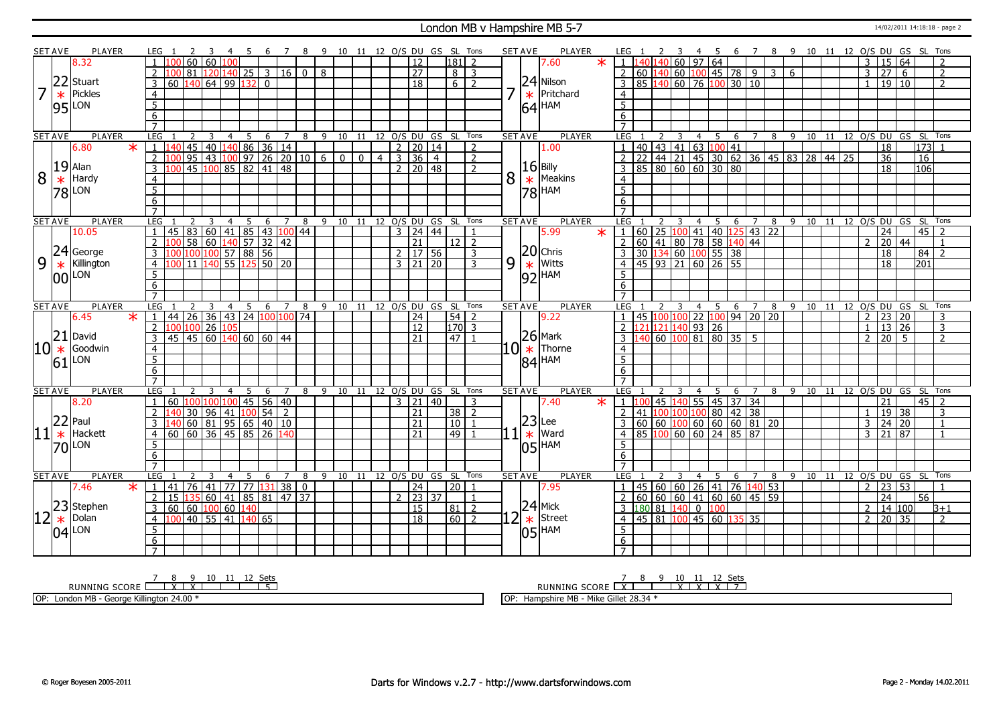#### London MB v Hampshire MB 5-7 14/02/2011 14:18:18 - page 2

|    | <b>SET AVE</b> | <b>PLAYER</b>              |         | LEG 1           |                       |                             | -3              | -4             | - 5 | - 6             | $\overline{7}$ |                                                              |              |                                |                |                | 8 9 10 11 12 O/S DU GS SL Tons |                |                 |                          |               | <b>SET AVE</b>                | <b>PLAYER</b>       | LEG 1               |    | <sup>2</sup> | - 3 |                  | 45                 |                                                         |                              |   |              | 6 7 8 9 10 11 12 O/S DU GS SL Tons |    |  |                |                 |                                |                  |                          |
|----|----------------|----------------------------|---------|-----------------|-----------------------|-----------------------------|-----------------|----------------|-----|-----------------|----------------|--------------------------------------------------------------|--------------|--------------------------------|----------------|----------------|--------------------------------|----------------|-----------------|--------------------------|---------------|-------------------------------|---------------------|---------------------|----|--------------|-----|------------------|--------------------|---------------------------------------------------------|------------------------------|---|--------------|------------------------------------|----|--|----------------|-----------------|--------------------------------|------------------|--------------------------|
|    |                | 8.32                       |         |                 |                       | 60                          | 60 100 l        |                |     |                 |                |                                                              |              |                                |                |                | 12                             |                | 181             | $\overline{z}$           |               |                               | $\ast$<br>7.60      |                     |    |              |     |                  | $60$ 97 64         |                                                         |                              |   |              |                                    |    |  | 3              | 15 64           |                                |                  | $\overline{\phantom{0}}$ |
|    |                |                            |         |                 | ۱M                    | 81 I                        |                 |                |     |                 |                | 120 140 25 3 16 0                                            | 8            |                                |                |                | $\overline{27}$                |                | $8 \mid 3$      |                          |               |                               |                     | $\overline{2}$      |    |              |     |                  |                    |                                                         |                              |   |              |                                    |    |  | $\overline{3}$ | 27              | 6                              |                  | $\overline{2}$           |
|    | 22             | Stuart                     |         | $\mathcal{E}$   | 60                    | $140 \ 64 \ 99 \ 132 \ 0$   |                 |                |     |                 |                |                                                              |              |                                |                |                | $\overline{18}$                |                | $6 \mid 2$      |                          |               |                               | 24 Nilson           | 3                   |    |              |     |                  |                    |                                                         | 85 140 60 76 100 30 10       |   |              |                                    |    |  | $\mathbf{1}$   | 19 10           |                                |                  | $\overline{\phantom{0}}$ |
|    |                |                            |         |                 |                       |                             |                 |                |     |                 |                |                                                              |              |                                |                |                |                                |                |                 |                          |               |                               |                     |                     |    |              |     |                  |                    |                                                         |                              |   |              |                                    |    |  |                |                 |                                |                  |                          |
| 7  | $\ast$         | Pickles                    |         | $\overline{4}$  |                       |                             |                 |                |     |                 |                |                                                              |              |                                |                |                |                                |                |                 |                          |               | $\ast$                        | Pritchard           | $\overline{4}$      |    |              |     |                  |                    |                                                         |                              |   |              |                                    |    |  |                |                 |                                |                  |                          |
|    | 95             | LON                        |         | $\overline{5}$  |                       |                             |                 |                |     |                 |                |                                                              |              |                                |                |                |                                |                |                 |                          |               |                               | $ 64 $ HAM          | 5                   |    |              |     |                  |                    |                                                         |                              |   |              |                                    |    |  |                |                 |                                |                  |                          |
|    |                |                            |         | $\overline{6}$  |                       |                             |                 |                |     |                 |                |                                                              |              |                                |                |                |                                |                |                 |                          |               |                               |                     | $6\overline{6}$     |    |              |     |                  |                    |                                                         |                              |   |              |                                    |    |  |                |                 |                                |                  |                          |
|    |                |                            |         | $\overline{7}$  |                       |                             |                 |                |     |                 |                |                                                              |              |                                |                |                |                                |                |                 |                          |               |                               |                     | $\overline{7}$      |    |              |     |                  |                    |                                                         |                              |   |              |                                    |    |  |                |                 |                                |                  |                          |
|    | <b>SET AVE</b> | <b>PLAYER</b>              |         | LEG             |                       | 2                           | 3               | $\overline{4}$ | 5   | $6\overline{6}$ | $\overline{7}$ |                                                              |              | 8 9 10 11 12 0/S DU GS SL Tons |                |                |                                |                |                 |                          |               | <b>SET AVE</b>                | <b>PLAYER</b>       | LEG                 |    |              | 3   | $\overline{4}$   | 5                  | 6                                                       | $\overline{7}$               |   |              | 8 9 10 11 12 O/S DU GS SL Tons     |    |  |                |                 |                                |                  |                          |
|    |                | 6.80                       | $\ast$  | $\mathbf{1}$    |                       | 45 40 140 86 36 14          |                 |                |     |                 |                |                                                              |              |                                |                |                | $2$   20   14                  |                |                 | $\overline{\phantom{0}}$ |               |                               | 1.00                | $\vert$ 1           |    |              |     |                  | 40 43 41 63 100 41 |                                                         |                              |   |              |                                    |    |  |                | 18              |                                | 173              |                          |
|    |                |                            |         | $\overline{2}$  |                       |                             |                 |                |     |                 |                | $95 \mid 43 \mid 100 \mid 97 \mid 26 \mid 20 \mid 10 \mid 6$ |              | 0 <sup>1</sup>                 | $\overline{0}$ | $4 \mid 3$     | $\overline{36}$                | $\overline{4}$ |                 | $\overline{z}$           |               |                               |                     | $\overline{2}$      | 22 |              |     |                  |                    |                                                         |                              |   |              | 44 21 45 30 62 36 45 83 28 44 25   |    |  |                | 36              |                                | 16               |                          |
|    |                | $19$ Alan                  |         | 3               |                       | 45 100 85 82 41 48          |                 |                |     |                 |                |                                                              |              |                                |                |                | 2 20 48                        |                |                 | $\overline{z}$           |               | $16$ Billy                    |                     |                     |    |              |     |                  |                    | $85$ 80 60 60 30 80                                     |                              |   |              |                                    |    |  |                | 18              |                                | 106              |                          |
| 8  |                | Hardy                      |         |                 |                       |                             |                 |                |     |                 |                |                                                              |              |                                |                |                |                                |                |                 |                          | 8             |                               | Meakins             |                     |    |              |     |                  |                    |                                                         |                              |   |              |                                    |    |  |                |                 |                                |                  |                          |
|    | $\ast$         |                            |         | 4               |                       |                             |                 |                |     |                 |                |                                                              |              |                                |                |                |                                |                |                 |                          |               | $\ast$                        |                     | 4                   |    |              |     |                  |                    |                                                         |                              |   |              |                                    |    |  |                |                 |                                |                  |                          |
|    |                | $78$ <sup>LON</sup>        |         | $\overline{5}$  |                       |                             |                 |                |     |                 |                |                                                              |              |                                |                |                |                                |                |                 |                          |               |                               | 78 HAM              | $\overline{5}$      |    |              |     |                  |                    |                                                         |                              |   |              |                                    |    |  |                |                 |                                |                  |                          |
|    |                |                            |         | $6\overline{6}$ |                       |                             |                 |                |     |                 |                |                                                              |              |                                |                |                |                                |                |                 |                          |               |                               |                     | 6                   |    |              |     |                  |                    |                                                         |                              |   |              |                                    |    |  |                |                 |                                |                  |                          |
|    |                |                            |         | $\overline{7}$  |                       |                             |                 |                |     |                 |                |                                                              |              |                                |                |                |                                |                |                 |                          |               |                               |                     | $\overline{7}$      |    |              |     |                  |                    |                                                         |                              |   |              |                                    |    |  |                |                 |                                |                  |                          |
|    | <b>SET AVE</b> | <b>PLAYER</b>              |         | <b>LEG</b>      |                       |                             |                 | $\overline{4}$ | 5   | 6               | $7^{\circ}$    | 8                                                            |              | 9 10 11 12 0/S DU GS SL Tons   |                |                |                                |                |                 |                          |               | <b>SET AVE</b>                | <b>PLAYER</b>       | LEG                 |    |              |     | $\overline{4}$   | -5                 | 6                                                       | $\overline{7}$               | 8 |              | 9 10 11                            |    |  |                | 12 O/S DU GS    |                                | SL Tons          |                          |
|    |                | 10.05                      |         | $\overline{1}$  | 45                    |                             |                 |                |     |                 |                | 83 60 41 85 43 100 44                                        |              |                                |                |                | $3 \mid 24 \mid 44$            |                |                 | $\mathbf{1}$             |               |                               | 5.99<br>$\ast$      | $\overline{1}$      |    |              |     |                  |                    |                                                         | 60 25 100 41 40 125 43 22    |   |              |                                    |    |  |                | 24              |                                | $45\overline{2}$ |                          |
|    |                |                            |         | 2               |                       | 58 60 140 57 32 42          |                 |                |     |                 |                |                                                              |              |                                |                |                | $\overline{21}$                |                | $12$   2        |                          |               |                               |                     | 2                   |    |              |     |                  |                    | 60 41 80 78 58 140 44                                   |                              |   |              |                                    |    |  | $\overline{2}$ | 20              | $ 44\rangle$                   |                  | $\overline{1}$           |
|    |                | $ 24 $ George              |         | $\overline{3}$  |                       | 100                         | $100$ 57 88 56  |                |     |                 |                |                                                              |              |                                |                |                | 2   17   56                    |                |                 | $\overline{3}$           |               |                               | $20$ Chris          | 3                   |    |              |     |                  |                    | $30\left 134\right 60\left 100\right 55\left 38\right $ |                              |   |              |                                    |    |  |                | 18              |                                | 84               | $\overline{2}$           |
| 9  |                | Killington                 |         | $\overline{4}$  | ۱M                    | 11                          | 140 l           |                |     |                 | $55$ 125 50 20 |                                                              |              |                                |                |                | $3 \mid 21 \mid 20$            |                |                 | $\overline{3}$           | 9             |                               | Witts               | 4                   |    |              |     |                  |                    | 45 93 21 60 26 55                                       |                              |   |              |                                    |    |  |                | 18              |                                | 201              |                          |
|    | $\ast$         |                            |         |                 |                       |                             |                 |                |     |                 |                |                                                              |              |                                |                |                |                                |                |                 |                          |               | $\ast$                        |                     |                     |    |              |     |                  |                    |                                                         |                              |   |              |                                    |    |  |                |                 |                                |                  |                          |
|    |                | 00 LON                     |         | $5\overline{)}$ |                       |                             |                 |                |     |                 |                |                                                              |              |                                |                |                |                                |                |                 |                          |               |                               | 92 HAM              | 5                   |    |              |     |                  |                    |                                                         |                              |   |              |                                    |    |  |                |                 |                                |                  |                          |
|    |                |                            |         | 6               |                       |                             |                 |                |     |                 |                |                                                              |              |                                |                |                |                                |                |                 |                          |               |                               |                     | 6                   |    |              |     |                  |                    |                                                         |                              |   |              |                                    |    |  |                |                 |                                |                  |                          |
|    |                |                            |         | $\overline{7}$  |                       |                             |                 |                |     |                 |                |                                                              |              |                                |                |                |                                |                |                 |                          |               |                               |                     |                     |    |              |     |                  |                    |                                                         |                              |   |              |                                    |    |  |                |                 |                                |                  |                          |
|    | <b>SET AVE</b> | <b>PLAYER</b>              |         |                 |                       |                             |                 | $\overline{4}$ | - 5 |                 |                | $6 \quad 7 \quad 8$                                          |              | 9 10 11 12 O/S DU GS SL Tons   |                |                |                                |                |                 |                          |               | <b>SET AVE</b>                | <b>PLAYER</b>       | LEG                 |    |              |     |                  | 4 <sub>5</sub>     |                                                         | 6 7                          |   |              |                                    |    |  |                |                 | 8 9 10 11 12 0/S DU GS SL Tons |                  |                          |
|    |                |                            |         | LEG             |                       |                             |                 |                |     |                 |                |                                                              |              |                                |                |                |                                |                |                 |                          |               |                               |                     |                     |    |              |     |                  |                    |                                                         |                              |   |              |                                    |    |  |                |                 |                                |                  |                          |
|    |                | 6.45                       | $\ast$  |                 | 44                    |                             |                 |                |     |                 |                | 26 36 43 24 100 100 74                                       |              |                                |                |                | 24                             |                | $54$   2        |                          |               |                               | 9.22                |                     |    |              |     |                  |                    |                                                         | 45 100 100 22 100 94 20 20   |   |              |                                    |    |  | 2              | 23 20           |                                |                  | 3                        |
|    |                |                            |         | 2               | 100                   | 100 26 105                  |                 |                |     |                 |                |                                                              |              |                                |                |                | 12                             |                | 170 3           |                          |               |                               |                     |                     |    |              |     |                  | 121 140 93 26      |                                                         |                              |   |              |                                    |    |  | $\overline{1}$ | 13 26           |                                |                  | 3                        |
|    |                |                            |         | 3               |                       |                             |                 |                |     |                 |                |                                                              |              |                                |                |                | 21                             |                | $\overline{47}$ |                          |               |                               |                     |                     |    |              |     |                  |                    |                                                         |                              |   |              |                                    |    |  | $\overline{2}$ | 20 <sup>1</sup> | -5                             |                  | $\overline{2}$           |
|    |                | $ 21 $ David               |         | $\overline{4}$  | 45 45 60 140 60 60 44 |                             |                 |                |     |                 |                |                                                              |              |                                |                |                |                                |                |                 |                          |               |                               | $26$ Mark           | $\overline{4}$      |    |              |     |                  |                    | $\frac{1}{40}$ 60 100 81 80 35 5                        |                              |   |              |                                    |    |  |                |                 |                                |                  |                          |
|    | $10$ $*$       | Goodwin                    |         |                 |                       |                             |                 |                |     |                 |                |                                                              |              |                                |                |                |                                |                |                 |                          |               |                               | $10$ $\star$ Thorne |                     |    |              |     |                  |                    |                                                         |                              |   |              |                                    |    |  |                |                 |                                |                  |                          |
|    | 61             | LON                        |         | $\overline{5}$  |                       |                             |                 |                |     |                 |                |                                                              |              |                                |                |                |                                |                |                 |                          |               |                               | $ 84 $ HAM          | $\overline{5}$      |    |              |     |                  |                    |                                                         |                              |   |              |                                    |    |  |                |                 |                                |                  |                          |
|    |                |                            |         | $6\overline{6}$ |                       |                             |                 |                |     |                 |                |                                                              |              |                                |                |                |                                |                |                 |                          |               |                               |                     | 6                   |    |              |     |                  |                    |                                                         |                              |   |              |                                    |    |  |                |                 |                                |                  |                          |
|    |                |                            |         | $\overline{7}$  |                       |                             |                 |                |     |                 |                |                                                              |              |                                |                |                |                                |                |                 |                          |               |                               |                     | $\overline{7}$      |    |              |     |                  |                    |                                                         |                              |   |              |                                    |    |  |                |                 |                                |                  |                          |
|    | <b>SET AVE</b> | PLAYER                     |         | <b>LEG</b>      |                       |                             |                 |                | 5   | 6               | $\overline{7}$ | 8                                                            |              | 9 10 11 12 O/S DU GS SL        |                |                |                                |                |                 | Tons                     |               | <b>SET AVE</b>                | <b>PLAYER</b>       | <b>LEG</b>          |    |              |     | 4                |                    | 6                                                       | 7                            |   | 8 9          | 10 11 12 O/S DU GS SL              |    |  |                |                 |                                |                  | Tons                     |
|    |                | 8.20                       |         | 1               | 60                    | 100 100 100 45 56 40        |                 |                |     |                 |                |                                                              |              |                                |                |                | 3   21   40                    |                |                 | 3                        |               |                               | 7.40<br>$\ast$      | $\overline{1}$      |    |              |     |                  |                    |                                                         | 45 140 55 45 37 34           |   |              |                                    |    |  |                | $\overline{21}$ |                                | $45$   2         |                          |
|    |                |                            |         | <sup>2</sup>    |                       | 30   96   41   100   54   2 |                 |                |     |                 |                |                                                              |              |                                |                |                | 21                             |                | $38$   2        |                          |               |                               |                     | $\overline{2}$      |    |              |     |                  |                    | 41 100 100 100 80 42 38                                 |                              |   |              |                                    |    |  | $\mathbf{1}$   | 19              | 38                             |                  | 3                        |
|    |                |                            |         | 3               | .40                   | $60$ 81 95 65 40 10         |                 |                |     |                 |                |                                                              |              |                                |                |                | 21                             |                | $10$   1        |                          |               |                               |                     |                     |    |              |     |                  |                    |                                                         | $60$ 60 $100$ 60 60 60 81 20 |   |              |                                    |    |  | 3              | 24 20           |                                |                  | $\mathbf{1}$             |
|    |                | Hackett                    |         | 4               | 60                    | 60 l                        | 36 45 85 26 140 |                |     |                 |                |                                                              |              |                                |                |                | 21                             |                | 49              |                          |               |                               | <b>Ward</b>         |                     |    |              |     |                  |                    | 85 100 60 60 24 85 87                                   |                              |   |              |                                    |    |  | $\overline{3}$ | 21 87           |                                |                  |                          |
|    |                |                            |         |                 |                       |                             |                 |                |     |                 |                |                                                              |              |                                |                |                |                                |                |                 |                          |               | $23$ Lee<br>$\frac{1}{2}$ War |                     | 5                   |    |              |     |                  |                    |                                                         |                              |   |              |                                    |    |  |                |                 |                                |                  |                          |
|    | 70 LON         | $11\frac{ 22 }{ 24 }$ Paul |         | 5               |                       |                             |                 |                |     |                 |                |                                                              |              |                                |                |                |                                |                |                 |                          |               |                               | $05$ HAM            |                     |    |              |     |                  |                    |                                                         |                              |   |              |                                    |    |  |                |                 |                                |                  |                          |
|    |                |                            |         | 6               |                       |                             |                 |                |     |                 |                |                                                              |              |                                |                |                |                                |                |                 |                          |               |                               |                     | 6                   |    |              |     |                  |                    |                                                         |                              |   |              |                                    |    |  |                |                 |                                |                  |                          |
|    |                |                            |         | $\overline{7}$  |                       |                             |                 |                |     |                 |                |                                                              |              |                                |                |                |                                |                |                 |                          |               |                               |                     |                     |    |              |     |                  |                    |                                                         |                              |   |              |                                    |    |  |                |                 |                                |                  |                          |
|    | <b>SET AVE</b> | PLAYER                     |         | LEG             |                       |                             |                 |                | 5   | 6               | $\overline{7}$ | 8                                                            | $\mathsf{q}$ | 10                             | 11             |                | 12 O/S DU GS SL Tons           |                |                 |                          |               | <b>SET AVE</b>                | <b>PLAYER</b>       | LEG                 |    |              |     | $\overline{4}$   | 5                  | 6                                                       | $\overline{7}$               | 8 | $\mathsf{q}$ | 10                                 | 11 |  |                |                 | 12 O/S DU GS SL Tons           |                  |                          |
|    |                | 7.46                       | $\star$ | $\overline{1}$  | 41                    | 76                          |                 |                |     |                 |                | $141$ 77 77 131 38 0                                         |              |                                |                |                | $\overline{24}$                |                | 20   1          |                          |               |                               | 7.95                | $\overline{1}$      |    |              |     |                  |                    |                                                         | 45 60 60 26 41 76 140 53     |   |              |                                    |    |  | $\overline{2}$ | 23 53           |                                |                  |                          |
|    |                |                            |         | 2               | 15                    | 135                         |                 |                |     |                 |                | 60 41 85 81 47 37                                            |              |                                |                | $\overline{2}$ | $\sqrt{23}$ 37                 |                |                 | $\overline{1}$           |               |                               |                     | $\overline{2}$      | 60 |              |     |                  |                    |                                                         |                              |   |              |                                    |    |  |                | 24              |                                | $\overline{56}$  |                          |
|    |                | 23 Stephen                 |         | 3               | 60                    | 60 100 60 140               |                 |                |     |                 |                |                                                              |              |                                |                |                | l 15                           |                | 81 2            |                          |               |                               | $24$ Mick           | $\overline{3}$      |    |              |     | $180$ 81 $140$ 0 | 100                |                                                         |                              |   |              |                                    |    |  | 2              | 14 100          |                                |                  | $B+1$                    |
| 12 | $\ast$         | Dolan                      |         | $\overline{4}$  | ۱nn                   | 40 55 41 140 65             |                 |                |     |                 |                |                                                              |              |                                |                |                | $\overline{18}$                |                | $60$   2        |                          | $\mathcal{D}$ | $\ast$                        | Street              | $\overline{4}$      |    |              |     |                  |                    |                                                         | 45 81 100 45 60 135 35       |   |              |                                    |    |  | $\overline{2}$ | 20 35           |                                |                  | 2                        |
|    |                | LON                        |         | $\overline{5}$  |                       |                             |                 |                |     |                 |                |                                                              |              |                                |                |                |                                |                |                 |                          |               |                               |                     | $\overline{5}$      |    |              |     |                  |                    |                                                         |                              |   |              |                                    |    |  |                |                 |                                |                  |                          |
|    | 04             |                            |         | 6               |                       |                             |                 |                |     |                 |                |                                                              |              |                                |                |                |                                |                |                 |                          |               |                               | $ 05 $ HAM          |                     |    |              |     |                  |                    |                                                         |                              |   |              |                                    |    |  |                |                 |                                |                  |                          |
|    |                |                            |         | $\overline{7}$  |                       |                             |                 |                |     |                 |                |                                                              |              |                                |                |                |                                |                |                 |                          |               |                               |                     | 6<br>$\overline{7}$ |    |              |     |                  |                    |                                                         |                              |   |              |                                    |    |  |                |                 |                                |                  |                          |

RUNNING SCORE 7 8 X 9 X 10 11 12 Sets 5

OP: London MB - George Killington 24.00 \*

<u>7 8 9 10 11 12 Sets</u><br>RUNNING SCORE <u>| X | | | X | X | X | 7</u>

OP: Hampshire MB - Mike Gillet 28.34 \*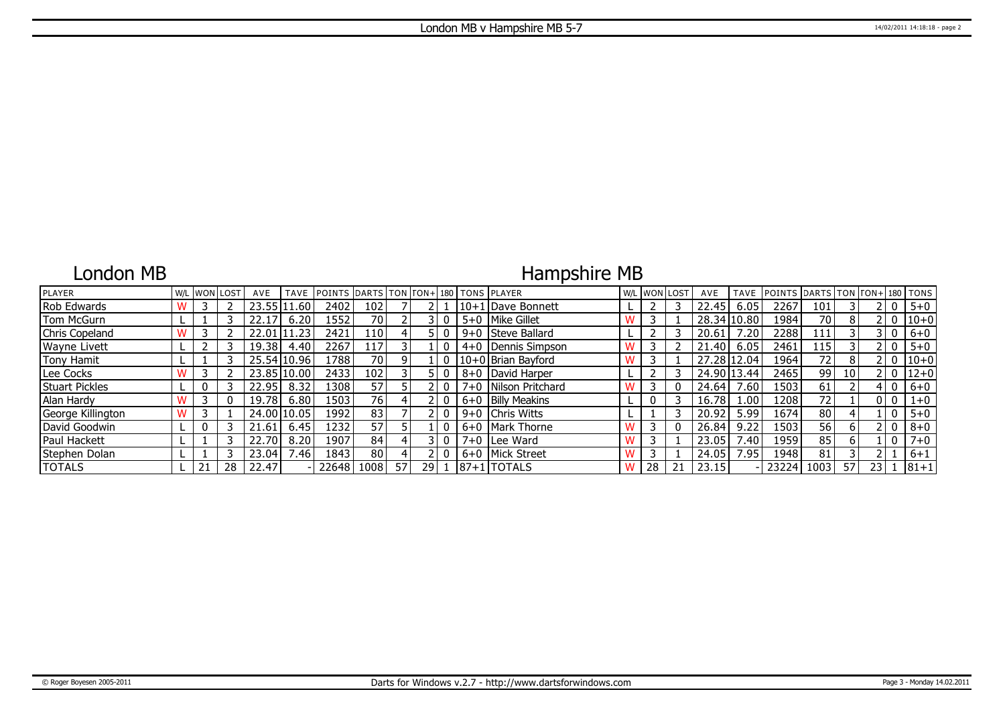### London MB

# Hampshire MB

| PLAYER                |    | W/L WON LOST | AVE   | <b>TAVE</b> | POINTS DARTS TON FON+ 180 TONS PLAYER |       |      |    |  |                        | W/L WON LOST | AVE         | <b>TAVE</b>     | POINTS DARTS TON TON+ 180 TONS |                 |                 |      |              |          |
|-----------------------|----|--------------|-------|-------------|---------------------------------------|-------|------|----|--|------------------------|--------------|-------------|-----------------|--------------------------------|-----------------|-----------------|------|--------------|----------|
| Rob Edwards           |    |              | 23.55 | .60         | 2402                                  | 102   |      |    |  | 10+1 Dave Bonnett      |              | 22.45       | 6.05            | 2267                           | 101             |                 |      | 0            | $5 + 0$  |
| Tom McGurn            |    |              | 22.17 | 6.20        | 1552                                  | 70    |      |    |  | 5+0   Mike Gillet      |              | 28.34 10.80 |                 | 1984                           | 70              | 8               |      | 2 I O        | $ 10+0$  |
| Chris Copeland        |    |              | 22.01 | .23         | 2421                                  | 110 I |      |    |  | 9+0 Steve Ballard      |              | 20.61       | .20             | 2288                           | 111             |                 |      | l 0          | $6+0$    |
| Wayne Livett          |    |              | 19.38 | 4.40        | 2267                                  | 117   |      |    |  | 4+0   Dennis Simpson   |              | 21.40       | 6.05            | 2461                           | 15              |                 |      | ! O          | $5 + 0$  |
| Tony Hamit            |    |              |       | 25.54 10.96 | 1788                                  | 70    |      |    |  | 10+0 Brian Bayford     |              | 27.28 12.04 |                 | 1964                           | 72 <sub>1</sub> | 8               |      | 2 I O        | $ 10+0$  |
| Lee Cocks             |    |              |       | 23.85 10.00 | 2433                                  | 102   |      |    |  | 8+0   David Harper     |              | 24.90 13.44 |                 | 2465                           | 99              | 10 <sup>1</sup> |      | 2 I O        | $12+0$   |
| <b>Stuart Pickles</b> |    |              | 22.95 | 8.32        | 13081                                 | 571   |      |    |  | 7+0   Nilson Pritchard |              | 24.64       | .60             | 1503                           | 61              |                 |      | $\mathbf{0}$ | $6 + 0$  |
| Alan Hardy            |    |              | 19.78 | 6.80        | 1503                                  | 76    |      |    |  | 6+0 Billy Meakins      |              | 16.78       | .00.            | 1208                           | 72              |                 |      | 0   0        | $1 + 0$  |
| George Killington     |    |              |       | 24.00 10.05 | 1992                                  | 83    |      |    |  | 9+0 Chris Witts        |              | 20.92       | 5.99            | 1674                           | 80              |                 |      | 0            | $5 + 0$  |
| David Goodwin         |    |              | 21.61 | 6.45        | 1232                                  | 57    |      |    |  | 6+0   Mark Thorne      |              | 26.84       | 9.22            | 1503                           | 56              | 6               |      | 0            | $8 + 0$  |
| Paul Hackett          |    |              | 22.70 | 8.20        | 1907                                  | 84    |      |    |  | 7+0 Lee Ward           |              | 23.05       | $^{\prime}$ .40 | 1959                           | 85              | 6               |      | 0            | $7 + 0$  |
| Stephen Dolan         |    |              | 23.04 | 7.46        | 1843                                  | 80    |      |    |  | 6+0   Mick Street      |              | 24.05       | 7.95            | 1948                           | 81              |                 |      |              | $6 + 1$  |
| <b>TOTALS</b>         | 21 | 28           | 22.47 |             | 22648                                 | 1008  | 57 I | 29 |  | $ 87+1 $ TOTALS        | 28           | 23.15       |                 | 23224                          | 1003            | 57              | 23 1 |              | $81 + 1$ |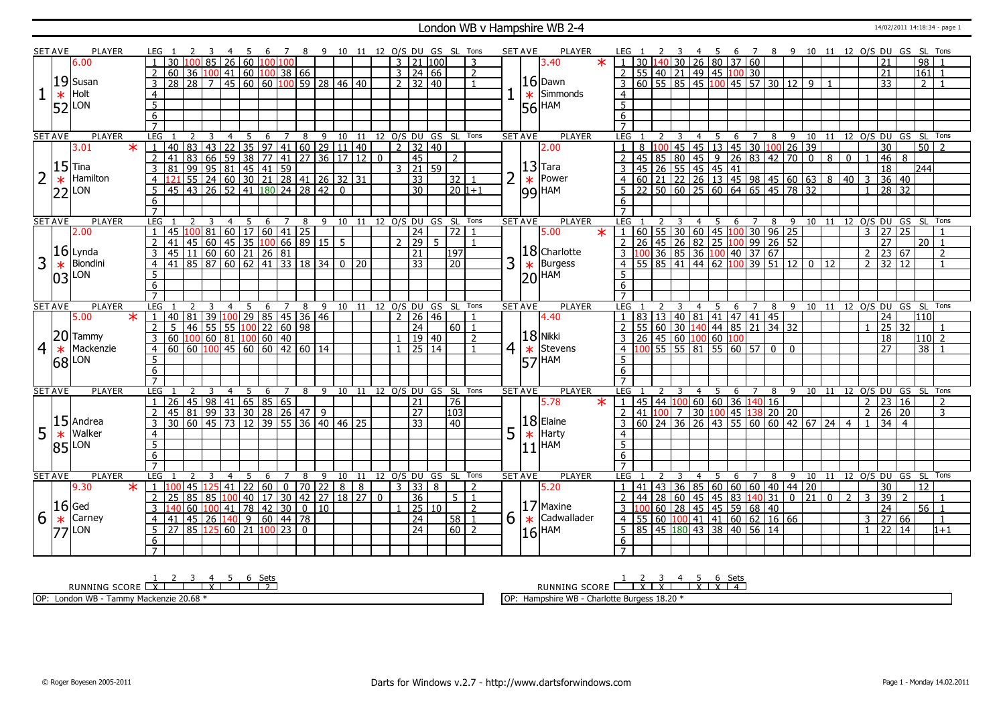#### London WB v Hampshire WB 2-4 14/02/2011 14:18:34 - page 1

|                | SET AVE        | <b>PLAYER</b>       |        |                     |                 |                |                                                                       |                |                |   | $\overline{7}$ |   | - 9                                  |                              |  |               |                           | 10 11 12 O/S DU GS SL Tons   |                 |                |   | <b>SET AVE</b> | <b>PLAYER</b>             |                                                                                                                                   |                                                      |                |                | 4 5                                    |                |                |                 |                                |              | 6 7 8 9 10 11 12 O/S DU GS SL Tons |                |                 |                |                  |                |
|----------------|----------------|---------------------|--------|---------------------|-----------------|----------------|-----------------------------------------------------------------------|----------------|----------------|---|----------------|---|--------------------------------------|------------------------------|--|---------------|---------------------------|------------------------------|-----------------|----------------|---|----------------|---------------------------|-----------------------------------------------------------------------------------------------------------------------------------|------------------------------------------------------|----------------|----------------|----------------------------------------|----------------|----------------|-----------------|--------------------------------|--------------|------------------------------------|----------------|-----------------|----------------|------------------|----------------|
|                |                | 6.00                |        |                     | 30              |                | LOO 85 26 60 100 100                                                  |                |                |   |                |   |                                      |                              |  |               | $3 \mid 21 \mid 100 \mid$ |                              |                 | 3              |   |                | 3.40<br>$\ast$            | 30                                                                                                                                |                                                      |                |                | $-40$ 30 26 80 37 60                   |                |                |                 |                                |              |                                    |                |                 |                | $\overline{98}$  |                |
|                |                |                     |        | $\overline{2}$      | 60 <sup>1</sup> |                | 36 100 41 60 100 38 66                                                |                |                |   |                |   |                                      |                              |  |               | $3 \mid 24 \mid 66$       |                              |                 | $\overline{2}$ |   |                |                           | 2   55   40   21   49   45   100   30                                                                                             |                                                      |                |                |                                        |                |                |                 |                                |              |                                    |                | 21              |                | 161              |                |
|                |                | $19$ Susan          |        | 3                   | $\overline{28}$ |                | 28 7 45 60 60 100 59 28 46 40                                         |                |                |   |                |   |                                      |                              |  |               | $2 \times 32 \times 40$   |                              |                 |                |   |                | $16$ Dawn                 | 3                                                                                                                                 | $\frac{1}{60}$ 55 85 45 100 45 57 30 12 9            |                |                |                                        |                |                |                 |                                |              |                                    |                | $\overline{33}$ |                | $\overline{2}$   |                |
| 1              |                | Holt                |        | $\overline{4}$      |                 |                |                                                                       |                |                |   |                |   |                                      |                              |  |               |                           |                              |                 |                |   |                | $\star$ Simmonds          | $\overline{4}$                                                                                                                    |                                                      |                |                |                                        |                |                |                 |                                |              |                                    |                |                 |                |                  |                |
|                | $\ast$         |                     |        |                     |                 |                |                                                                       |                |                |   |                |   |                                      |                              |  |               |                           |                              |                 |                |   |                |                           |                                                                                                                                   |                                                      |                |                |                                        |                |                |                 |                                |              |                                    |                |                 |                |                  |                |
|                | 52             | LON                 |        | $\overline{5}$      |                 |                |                                                                       |                |                |   |                |   |                                      |                              |  |               |                           |                              |                 |                |   |                | 56 HAM                    | $\overline{5}$                                                                                                                    |                                                      |                |                |                                        |                |                |                 |                                |              |                                    |                |                 |                |                  |                |
|                |                |                     |        | $6\overline{6}$     |                 |                |                                                                       |                |                |   |                |   |                                      |                              |  |               |                           |                              |                 |                |   |                |                           | $6\overline{6}$                                                                                                                   |                                                      |                |                |                                        |                |                |                 |                                |              |                                    |                |                 |                |                  |                |
|                |                |                     |        | $\overline{7}$      |                 |                |                                                                       |                |                |   |                |   |                                      |                              |  |               |                           |                              |                 |                |   |                |                           | $\overline{7}$                                                                                                                    |                                                      |                |                |                                        |                |                |                 |                                |              |                                    |                |                 |                |                  |                |
|                | <b>SET AVE</b> | <b>PLAYER</b>       |        | <b>LEG</b>          |                 | $\overline{2}$ | $\overline{3}$                                                        | $\overline{4}$ | $\overline{5}$ |   |                |   | 6 7 8 9 10 11 12 O/S DU GS SL Tons   |                              |  |               |                           |                              |                 |                |   | <b>SET AVE</b> | <b>PLAYER</b>             | LEG 1                                                                                                                             |                                                      | $\overline{3}$ |                | 4 5 6 7 8 9 10 11 12 O/S DU GS SL Tons |                |                |                 |                                |              |                                    |                |                 |                |                  |                |
|                |                | 3.01                | $\ast$ | $\overline{1}$      |                 |                | 40   83   43   22   35   97   41   60   29   11   40                  |                |                |   |                |   |                                      |                              |  |               | $2 \mid 32 \mid 40$       |                              |                 |                |   |                | 2.00                      | 8                                                                                                                                 |                                                      |                |                | 100 45 45 13 45 30 100 26 39           |                |                |                 |                                |              |                                    |                | $\overline{30}$ |                | $50\overline{2}$ |                |
|                |                |                     |        |                     | 41              |                | 83 66 59 38 77 41 27 36 17 12 0                                       |                |                |   |                |   |                                      |                              |  |               | $\overline{45}$           |                              | 2               |                |   |                |                           | 45                                                                                                                                |                                                      |                |                |                                        |                |                |                 |                                | 8            | $\mathbf{0}$                       |                | 46              | - 8            |                  |                |
|                |                | $15$ Tina           |        | 3                   | 81              |                | 99   95   81   45   41   59                                           |                |                |   |                |   |                                      |                              |  |               | 3   21   59               |                              |                 |                |   |                | $13$ Tara                 | 45                                                                                                                                |                                                      |                |                | $\boxed{26}$ 55 45 45 41               |                |                |                 |                                |              |                                    |                | 18              |                | 244              |                |
| $\overline{2}$ | $\ast$         | Hamilton            |        |                     |                 |                | 55 24 60 30 21 28 41 26 32 31                                         |                |                |   |                |   |                                      |                              |  |               | 33                        |                              | 32 1            |                |   |                | $\star$  Power            | $\overline{4}$                                                                                                                    |                                                      |                |                |                                        |                |                |                 |                                |              |                                    |                |                 | $36 \mid 40$   |                  |                |
|                |                | $22$ LON            |        | 5                   |                 |                | 45 43 26 52 41 180 24 28 42 0                                         |                |                |   |                |   |                                      |                              |  |               | $\overline{30}$           |                              | 20 1+1          |                |   |                | $ 99 $ HAM                | 5                                                                                                                                 |                                                      |                |                |                                        |                |                |                 |                                |              |                                    |                |                 | 28 32          |                  |                |
|                |                |                     |        | 6                   |                 |                |                                                                       |                |                |   |                |   |                                      |                              |  |               |                           |                              |                 |                |   |                |                           | 6                                                                                                                                 |                                                      |                |                |                                        |                |                |                 |                                |              |                                    |                |                 |                |                  |                |
|                |                |                     |        | $\overline{7}$      |                 |                |                                                                       |                |                |   |                |   |                                      |                              |  |               |                           |                              |                 |                |   |                |                           | $\overline{7}$                                                                                                                    |                                                      |                |                |                                        |                |                |                 |                                |              |                                    |                |                 |                |                  |                |
|                | <b>SET AVE</b> | <b>PLAYER</b>       |        | LEG                 |                 |                |                                                                       | $\overline{4}$ | 5              |   | 6 7 8          |   |                                      |                              |  |               |                           | 9 10 11 12 0/S DU GS SL Tons |                 |                |   | <b>SET AVE</b> | <b>PLAYER</b>             | LEG <sub>1</sub>                                                                                                                  |                                                      | 3              |                | 4 5 6 7 8 9 10 11 12 O/S DU GS SL      |                |                |                 |                                |              |                                    |                |                 |                |                  | Tons           |
|                |                | 2.00                |        | $\overline{1}$      |                 |                | 45 100 81 60 17 60 41 25                                              |                |                |   |                |   |                                      |                              |  |               | $\sqrt{24}$               |                              | 72              | $\overline{1}$ |   |                | $\overline{\ast}$<br>5.00 | $1   60   55   30   60   45   100   30   96   25$                                                                                 |                                                      |                |                |                                        |                |                |                 |                                |              |                                    | $\overline{3}$ |                 | 27 25          |                  |                |
|                |                |                     |        | 2                   | 41              |                | $45 \mid 60 \mid 45 \mid 35 \mid 100 \mid 66 \mid 89 \mid 15 \mid 5$  |                |                |   |                |   |                                      |                              |  |               | $2 \mid 29 \mid$          | 5 <sup>1</sup>               |                 |                |   |                |                           | 2 <sup>1</sup>                                                                                                                    | 26 45 26 82 25 100                                   |                |                |                                        |                |                | $99 \ 26 \ 52$  |                                |              |                                    |                | $\overline{27}$ |                | 20               |                |
|                |                | $16$ Lynda          |        |                     |                 |                | 45 11 60 60 21 26 81                                                  |                |                |   |                |   |                                      |                              |  |               | $\overline{21}$           |                              | 197             |                |   |                | $18$ Charlotte            | $3   100   36   85   36   100   40   37   67$                                                                                     |                                                      |                |                |                                        |                |                |                 |                                |              |                                    | $\overline{2}$ |                 | 23 67          |                  | $\overline{2}$ |
| 3              |                | Biondini            |        | $\overline{4}$      | 41 I            |                | 85 87 60 62 41 33 18 34 0 20                                          |                |                |   |                |   |                                      |                              |  |               | $\overline{33}$           |                              | $\overline{20}$ |                | 3 |                | Burgess                   | 4 <sup>1</sup>                                                                                                                    | $55 \ 85 \ 41 \ 44 \ 62$                             |                |                |                                        | 100            |                | $39$ 51 12 0 12 |                                |              |                                    | $\overline{2}$ |                 | 32 12          |                  |                |
|                | $\ast$         |                     |        | 5                   |                 |                |                                                                       |                |                |   |                |   |                                      |                              |  |               |                           |                              |                 |                |   | $\ast$         |                           |                                                                                                                                   |                                                      |                |                |                                        |                |                |                 |                                |              |                                    |                |                 |                |                  |                |
|                | 03             | LON                 |        |                     |                 |                |                                                                       |                |                |   |                |   |                                      |                              |  |               |                           |                              |                 |                |   |                | $ 20 $ HAM                |                                                                                                                                   |                                                      |                |                |                                        |                |                |                 |                                |              |                                    |                |                 |                |                  |                |
|                |                |                     |        | 6                   |                 |                |                                                                       |                |                |   |                |   |                                      |                              |  |               |                           |                              |                 |                |   |                |                           | 6                                                                                                                                 |                                                      |                |                |                                        |                |                |                 |                                |              |                                    |                |                 |                |                  |                |
|                |                |                     |        | $\overline{7}$      |                 |                |                                                                       |                |                |   |                |   |                                      |                              |  |               |                           |                              |                 |                |   | <b>SET AVE</b> | <b>PLAYER</b>             | LEG                                                                                                                               |                                                      |                | 4              |                                        |                |                |                 |                                |              |                                    |                |                 |                |                  |                |
|                |                |                     |        |                     |                 |                |                                                                       |                |                |   |                |   |                                      |                              |  |               |                           |                              |                 |                |   |                |                           |                                                                                                                                   |                                                      |                |                |                                        |                |                |                 |                                |              |                                    |                |                 |                |                  |                |
|                | <b>SET AVE</b> | <b>PLAYER</b>       |        | LEG                 |                 |                |                                                                       |                | 5              | 6 |                | 8 |                                      | 9 10 11 12 O/S DU GS SL Tons |  |               |                           |                              |                 |                |   |                |                           |                                                                                                                                   |                                                      |                |                | -5                                     | 6              |                |                 | 8 9 10 11 12 O/S DU GS SL Tons |              |                                    |                |                 |                |                  |                |
|                |                | 5.00                | $\ast$ |                     | 40 <sup>1</sup> | 81             | 39 100 29 85 45 36 46                                                 |                |                |   |                |   |                                      |                              |  | $\mathcal{D}$ | 26 46                     |                              |                 |                |   |                | 4.40                      |                                                                                                                                   | 83 13 40 81 41 47 41 45                              |                |                |                                        |                |                |                 |                                |              |                                    |                | $\overline{24}$ |                | 110 I            |                |
|                |                |                     |        | $\overline{2}$      | 5 <sub>1</sub>  |                | 46 55 55 100 22 60 98                                                 |                |                |   |                |   |                                      |                              |  |               | $\overline{24}$           |                              | 60   1          |                |   |                |                           | $\mathcal{L}$                                                                                                                     | 55 60 30 140 44 85 21 34 32                          |                |                |                                        |                |                |                 |                                |              |                                    |                | 25              | -32            |                  |                |
|                |                | $20$ Tammy          |        | $\mathcal{E}$       |                 |                | 60 100 60 81 100 60 40                                                |                |                |   |                |   |                                      |                              |  | 1             | 19 40                     |                              |                 | $\overline{2}$ |   |                | 18 Nikki                  |                                                                                                                                   |                                                      |                |                |                                        |                |                |                 |                                |              |                                    |                | 18              |                | $110$   2        |                |
| $\overline{4}$ | $\ast$         | Mackenzie           |        | $\overline{4}$      |                 |                | $60 \mid 60 \mid 100 \mid 45 \mid 60 \mid 60 \mid 42 \mid 60 \mid 14$ |                |                |   |                |   |                                      |                              |  |               | $1 \overline{)25}$ 14     |                              |                 | $\overline{1}$ |   | $4 \times$     | Stevens                   | <u>3</u> 26 45 60 100 60 100<br>4 100 55 55 81 55 60 57 0 0                                                                       |                                                      |                |                |                                        |                |                |                 |                                |              |                                    |                | 27              |                | $\overline{38}$  |                |
|                |                |                     |        | 5                   |                 |                |                                                                       |                |                |   |                |   |                                      |                              |  |               |                           |                              |                 |                |   |                |                           | 5                                                                                                                                 |                                                      |                |                |                                        |                |                |                 |                                |              |                                    |                |                 |                |                  |                |
|                |                | $68$ <sup>LON</sup> |        | 6                   |                 |                |                                                                       |                |                |   |                |   |                                      |                              |  |               |                           |                              |                 |                |   |                | $ 57 $ HAM                | $6\overline{6}$                                                                                                                   |                                                      |                |                |                                        |                |                |                 |                                |              |                                    |                |                 |                |                  |                |
|                |                |                     |        | $\overline{7}$      |                 |                |                                                                       |                |                |   |                |   |                                      |                              |  |               |                           |                              |                 |                |   |                |                           | $7^{\circ}$                                                                                                                       |                                                      |                |                |                                        |                |                |                 |                                |              |                                    |                |                 |                |                  |                |
|                | <b>SET AVE</b> | PLAYER              |        | <b>LEG</b>          |                 | 2              | 3                                                                     | $\overline{4}$ | 5              |   | 6 7            |   | 8 9 10 11 12 O/S DU GS SL Tons       |                              |  |               |                           |                              |                 |                |   | <b>SET AVE</b> | <b>PLAYER</b>             | LEG 1                                                                                                                             | 2                                                    | $\overline{3}$ | $\overline{4}$ | $\overline{5}$                         | 6 7            |                |                 |                                |              | 8 9 10 11 12 O/S DU GS SL Tons     |                |                 |                |                  |                |
|                |                |                     |        |                     | $\overline{26}$ |                | 45   98   41   65   85   65                                           |                |                |   |                |   |                                      |                              |  |               | 21                        |                              | $\overline{76}$ |                |   |                | $\star$<br>5.78           | 45<br>$\mathbf{1}$                                                                                                                |                                                      | 44 100         |                | 60   60   36                           |                | 140 16         |                 |                                |              |                                    | $\overline{2}$ |                 | 23 16          |                  | 2              |
|                |                |                     |        | $\overline{2}$      |                 |                | 45 81 99 33 30 28 26 47 9                                             |                |                |   |                |   |                                      |                              |  |               | $\overline{27}$           |                              | 103             |                |   |                |                           | $2$ 41 $100$ 7                                                                                                                    |                                                      |                | 30             | 100                                    | 45             |                | 138 20 20       |                                |              |                                    | 2 <sup>1</sup> |                 | 26 20          |                  | $\overline{3}$ |
|                |                | $15$ Andrea         |        | $\overline{3}$      |                 |                | 30 60 45 73 12 39 55 36 40 46 25                                      |                |                |   |                |   |                                      |                              |  |               | 33                        |                              | 40              |                |   |                | $18$ Elaine               |                                                                                                                                   | 60   24   36   26   43   55   60   60   42   67   24 |                |                |                                        |                |                |                 |                                |              | $\overline{4}$                     |                | $\overline{34}$ | $\overline{4}$ |                  |                |
|                |                | Walker              |        | 4                   |                 |                |                                                                       |                |                |   |                |   |                                      |                              |  |               |                           |                              |                 |                |   |                | Harty                     | 4                                                                                                                                 |                                                      |                |                |                                        |                |                |                 |                                |              |                                    |                |                 |                |                  |                |
| 5              | $\ast$         |                     |        |                     |                 |                |                                                                       |                |                |   |                |   |                                      |                              |  |               |                           |                              |                 |                | 5 | $\ast$         |                           | 5                                                                                                                                 |                                                      |                |                |                                        |                |                |                 |                                |              |                                    |                |                 |                |                  |                |
|                | 85             | <b>LON</b>          |        | 5                   |                 |                |                                                                       |                |                |   |                |   |                                      |                              |  |               |                           |                              |                 |                |   |                | $11$  HAM                 |                                                                                                                                   |                                                      |                |                |                                        |                |                |                 |                                |              |                                    |                |                 |                |                  |                |
|                |                |                     |        | 6<br>$\overline{7}$ |                 |                |                                                                       |                |                |   |                |   |                                      |                              |  |               |                           |                              |                 |                |   |                |                           | 6<br>$\overline{7}$                                                                                                               |                                                      |                |                |                                        |                |                |                 |                                |              |                                    |                |                 |                |                  |                |
|                |                |                     |        |                     |                 | $\mathcal{P}$  |                                                                       |                |                |   |                |   |                                      |                              |  |               |                           |                              |                 |                |   |                |                           |                                                                                                                                   |                                                      | 3              | 4              |                                        |                |                |                 |                                |              |                                    |                |                 |                |                  | Tons           |
|                | <b>SET AVE</b> | <b>PLAYER</b>       |        | LEG                 |                 |                |                                                                       | 4              | -5             | 6 | 7              | 8 |                                      |                              |  |               |                           | 9 10 11 12 O/S DU GS SL Tons |                 |                |   | <b>SET AVE</b> | <b>PLAYER</b>             | LEG <sub>1</sub>                                                                                                                  |                                                      |                |                | -5                                     | -6             | $\overline{7}$ | 8               |                                |              | 9 10 11 12 O/S DU GS SL            |                |                 |                |                  |                |
|                |                | 9.30                | $\ast$ | $\mathbf{1}$        | 100             |                | 45 125 41 22 60                                                       |                |                |   |                |   | $0$   70   22                        | $8 \mid 8$                   |  |               | 3   33   8                |                              |                 | $\overline{z}$ |   |                | 5.20                      | 41                                                                                                                                |                                                      | 43 36          |                | 85 60                                  | 60 60 40 44 20 |                |                 |                                |              |                                    |                | 30              |                | 12               |                |
|                |                |                     |        | 2                   | 25              |                | 85 85 100                                                             |                |                |   |                |   | 40   17   30   42   27   18   27   0 |                              |  |               | $\overline{36}$           |                              | 5 1             |                |   |                |                           | 2                                                                                                                                 | 44 28 60 45 45 83 140 31 0                           |                |                |                                        |                |                |                 | $\overline{21}$                | $\mathbf{0}$ | $\overline{2}$                     | 3              | $\overline{39}$ | $\overline{z}$ |                  |                |
|                | $16$ Ged       |                     |        | 3                   | 140             |                |                                                                       |                |                |   |                |   |                                      |                              |  |               | 25 10                     |                              |                 | $\overline{2}$ |   |                | $ 17 $ Maxine             | 3  100  60  28  45  45  59  68  40                                                                                                |                                                      |                |                |                                        |                |                |                 |                                |              |                                    |                | $\overline{24}$ |                | $56$ 1           |                |
| 6              | $\ast$         | Carney              |        | $\overline{4}$      | 41              |                | $45$ 26 140 9 60 44 78                                                |                |                |   |                |   |                                      |                              |  |               | $\overline{24}$           |                              | $58$   1        |                | 6 | $\ast$         | Cadwallader               | $4 \overline{)55 \overline{)60 \overline{)100 \overline{41 \overline{)41 \overline{)60 \overline{62 \overline{)16 \overline{66}}$ |                                                      |                |                |                                        |                |                |                 |                                |              |                                    | 3              |                 | 27   66        |                  | $\mathbf{1}$   |
|                | 771            | <b>LON</b>          |        | 5                   |                 |                | 27 85 125 60 21 100 23 0                                              |                |                |   |                |   |                                      |                              |  |               | $\overline{24}$           |                              | $60$   2        |                |   |                | $16$ <sup>HAM</sup>       | 5 85 45 180 43 38 40 56 14                                                                                                        |                                                      |                |                |                                        |                |                |                 |                                |              |                                    | $\mathbf{1}$   |                 | $22 \mid 14$   |                  | $1+1$          |
|                |                |                     |        | 6<br>$\overline{7}$ |                 |                |                                                                       |                |                |   |                |   |                                      |                              |  |               |                           |                              |                 |                |   |                |                           | 6                                                                                                                                 |                                                      |                |                |                                        |                |                |                 |                                |              |                                    |                |                 |                |                  |                |

RUNNING SCORE 1 X 2 3 4 X 5 6 Sets 2

OP: London WB - Tammy Mackenzie 20.68 \*

1 2 3 4 5 6 Sets<br>RUNNING SCORE <u>| X | X | X | X | X | 4</u>

OP: Hampshire WB - Charlotte Burgess 18.20 \*